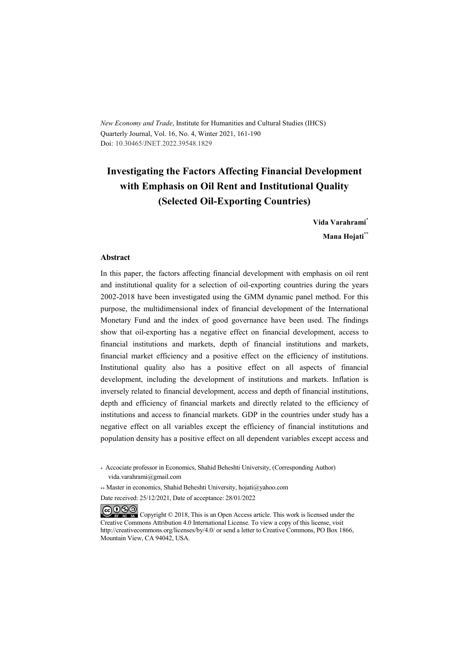*New Economy and Trade*, Institute for Humanities and Cultural Studies (IHCS) Quarterly Journal, Vol. 16, No. 4, Winter 2021, 161-190 Doi: 10.30465/JNET.2022.39548.1829

# **Investigating the Factors Affecting Financial Development with Emphasis on Oil Rent and Institutional Quality (Selected Oil-Exporting Countries)**

**Vida Varahrami\* Mana Hojati\*\***

#### **Abstract**

In this paper, the factors affecting financial development with emphasis on oil rent and institutional quality for a selection of oil-exporting countries during the years 2002-2018 have been investigated using the GMM dynamic panel method. For this purpose, the multidimensional index of financial development of the International Monetary Fund and the index of good governance have been used. The findings show that oil-exporting has a negative effect on financial development, access to financial institutions and markets, depth of financial institutions and markets, financial market efficiency and a positive effect on the efficiency of institutions. Institutional quality also has a positive effect on all aspects of financial development, including the development of institutions and markets. Inflation is inversely related to financial development, access and depth of financial institutions, depth and efficiency of financial markets and directly related to the efficiency of institutions and access to financial markets. GDP in the countries under study has a negative effect on all variables except the efficiency of financial institutions and population density has a positive effect on all dependent variables except access and

COOO Copyright © 2018, This is an Open Access article. This work is licensed under the Creative Commons Attribution 4.0 International License. To view a copy of this license, visit http://creativecommons.org/licenses/by/4.0/ or send a letter to Creative Commons, PO Box 1866, Mountain View, CA 94042, USA.

<sup>\*</sup> Accociate professor in Economics, Shahid Beheshti University, (Corresponding Author) vida.varahrami@gmail.com

<sup>\*\*</sup> Master in economics, Shahid Beheshti University, hojati@yahoo.com

Date received: 25/12/2021, Date of acceptance: 28/01/2022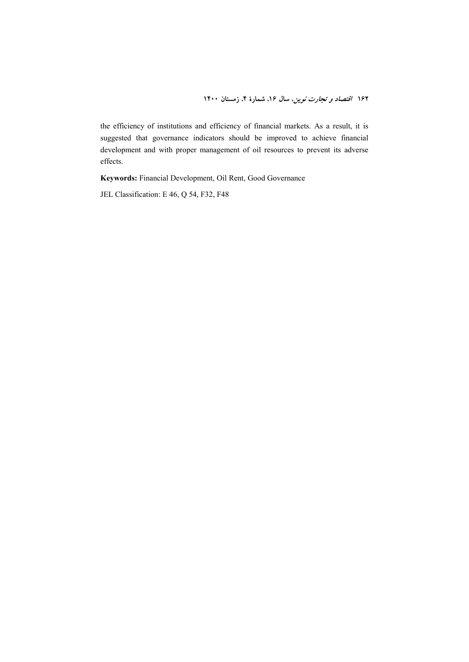the efficiency of institutions and efficiency of financial markets. As a result, it is suggested that governance indicators should be improved to achieve financial development and with proper management of oil resources to prevent its adverse effects.

**Keywords:** Financial Development, Oil Rent, Good Governance

JEL Classification: E 46, Q 54, F32, F48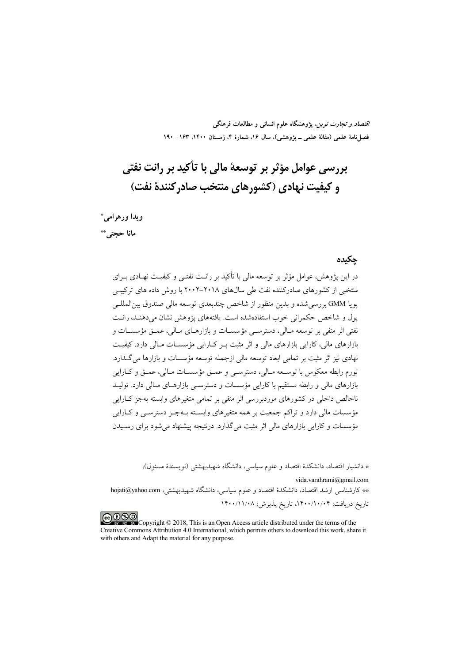*اقتصاد و تجارت نوین*، پژوهشگاه علوم انسان<sub>ی</sub> و مطالعات فرهنگی فصل نامهٔ علمی (مقالهٔ علمی ــ پژوهشی)، سال ۱۶، شمارهٔ ۴، زمستان ۱۴۰۰، ۱۶۳ ـ ۱۹۰

# بررسی عوامل مؤثر بر توسعهٔ مالی با تأکید بر رانت نفتی و کیفیت نهادی (کشورهای منتخب صادر کنندهٔ نفت)

ويدا ورهرامي\* مانا حجتى \*\*

#### حكىدە

در این پژوهش، عوامل مؤثر بر توسعه مالی با تأکید بر رانـت نفتـی و کیفیـت نهـادی بــرای منتخبی از کشورهای صادرکننده نفت طی سالهای ۲۰۱۸–۲۰۰۲ با روش داده های ترکیبی يويا GMM بررسي شده و بدين منظور از شاخص چندبعدي توسعه مالي صندوق بين|لمللـي يول و شاخص حكمراني خوب استفادهشده است. يافتههاي يژوهش نشان مي دهنـد، رانـت نفتي اثر منفي بر توسعه مـالي، دسترســي مؤسســات و بازارهــاي مــالي، عمــق مؤسســات و بازارهای مالی، کارایی بازارهای مالی و اثر مثبت بـر کـارایی مؤسسـات مـالی دارد. کیفیـت نهادي نيز اثر مثبت بر تمامي ابعاد توسعه مالي ازجمله توسعه مؤسسات و بازارها مي گـذارد. .<br>تورم رابطه معکوس با توسـعه مـالي، دسترسـي و عمــق مؤسســات مـالي، عمــق و کــارايي بازارهای مالی و رابطه مستقیم با کارایی مؤسسات و دسترسـی بازارهــای مــالی دارد. تولیــد ناخالص داخلی در کشورهای موردبررسی اثر منفی بر تمامی متغیرهای وابسته بهجز کـارایی مؤسسات مالی دارد و تراکم جمعیت بر همه متغیرهای وابسته بـهجـز دسترسـی و کــارایی مؤسسات و کارایی بازارهای مالی اثر مثبت می گذارد. درنتیجه پیشنهاد می شود برای رسیدن

\* دانشیار اقتصاد، دانشکدهٔ اقتصاد و علوم سیاسی، دانشگاه شهیدبهشتی (نویسندهٔ مسئول)،

vida.varahrami@gmail.com \*\* كارشناسي ارشد اقتصاد، دانشكدهٔ اقتصاد و علوم سياسي، دانشگاه شهيدبهشتي، hojati@yahoo.com تاريخ دريافت: ۰/۰/۱۰/۰۴، تاريخ پذيرش: ۱۴۰۰/۱۱/۰۸

COOD Copyright © 2018, This is an Open Access article distributed under the terms of the Creative Commons Attribution 4.0 International, which permits others to download this work, share it with others and Adapt the material for any purpose.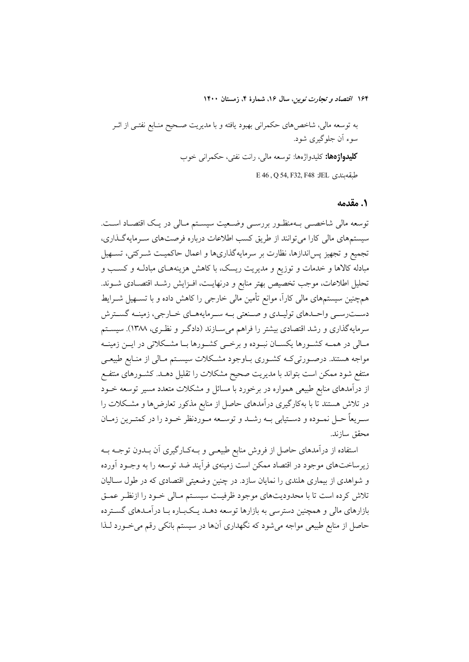١. مقدمه

توسعه مالی شاخصـی بــهمنظـور بررسـی وضــعیت سیســتم مــالی در یــک اقتصــاد اســت. سیستمهای مالی کارا می توانند از طریق کسب اطلاعات درباره فرصتهای سـرمایهگـذاری، تجميع و تجهيز پس|ندازها، نظارت بر سرمايهگذاريها و اعمال حاكميـت شـركتي، تسـهيل مبادله کالاها و خدمات و توزیع و مدیریت ریسک، با کاهش هزینههـای مبادلـه و کسـب و تحليل اطلاعات، موجب تخصيص بهتر منابع و درنهايـت، افـزايش رشـد اقتصـادى شــوند. همچنین سیستمهای مالی کاراً، موانع تأمین مالی خارجی را کاهش داده و با تســهیل شــرایط دست رسمي واحـدهاي توليـدي و صـنعتي بـه سـرمايههـاي خـارجي، زمينـه گسـترش سرمایهگذاری و رشد اقتصادی بیشتر را فراهم میسازند (دادگر و نظـری، ۱۳۸۸). سیسـتم مـالي در همــه كشــورها يكســان نبــوده و برخـــي كشــورها بــا مشــكلاتي در ايــن زمينــه مواجه هستند. درصـورتي کـه کشـوري بــاوجود مشــکلات سيســتم مــالي از منــابع طبيعــي منتفع شود ممکن است بتواند با مدیریت صحیح مشکلات را تقلیل دهــد. کشــورهای منتفــع از درآمدهای منابع طبیعی همواره در برخورد با مسائل و مشکلات متعدد مسیر توسعه خــود در تلاش هستند تا با بهکارگیری درآمدهای حاصل از منابع مذکور تعارضها و مشکلات را سـريعاً حـل نمـوده و دسـتيابي بــه رشــد و توســعه مــوردنظر خــود را در كمتـرين زمــان محقق سازند.

استفاده از درآمدهای حاصل از فروش منابع طبیعـی و بـهکـارگیری آن بـدون توجـه بـه زیرساختهای موجود در اقتصاد ممکن است زمینهی فرآیند ضد توسعه را به وجـود آورده و شواهدی از بیماری هلندی را نمایان سازد. در چنین وضعیتی اقتصادی که در طول سـالیان تلاش كرده است تا با محدوديتهاى موجود ظرفيت سيسـتم مـالي خـود را ازنظـر عمـق بازارهای مالی و همچنین دسترسی به بازارها توسعه دهــد یــکبــاره بــا درآمــدهای گســترده حاصل از منابع طبیعی مواجه میشود که نگهداری آنها در سیستم بانکی رقم میخورد لـذا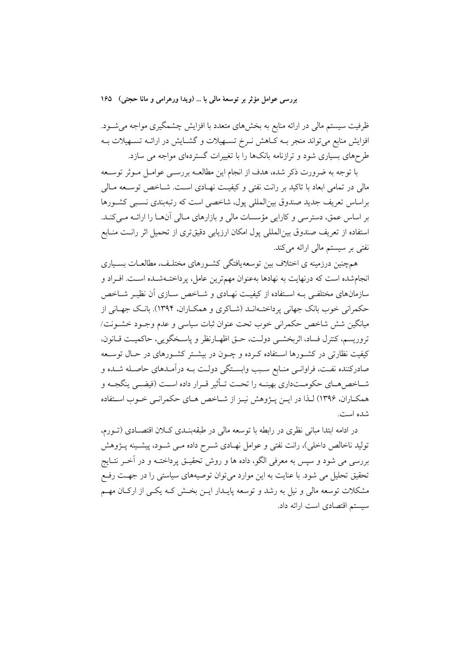ظرفیت سیستم مالی در ارائه منابع به بخشهای متعدد با افزایش چشمگیری مواجه میشـود. افزایش منابع میتواند منجر بــه کــاهش نــرخ تســهیلات و گشــایش در ارائــه تســهیلات بــه طرحهای بسیاری شود و ترازنامه بانکها را با تغییرات گستردهای مواجه می سازد.

با توجه به ضرورت ذکر شده، هدف از انجام این مطالعـه بررسـی عوامـل مـوثر توسـعه مالی در تمامی ابعاد با تاکید بر رانت نفتی و کیفیـت نهـادی اسـت. شــاخص توســعه مــالی براساس تعریف جدید صندوق بین|لمللی یول، شاخصی است که رتبهبندی نسبی کشـورها بر اساس عمق، دسترسی و کارایی مؤسسات مالی و بازارهای مـالی آنهـا را ارائــه مـیکنــد. استفاده از تعریف صندوق بینالمللی پول امکان ارزیابی دقیقتری از تحمیل اثر رانـت منـابع نفتی بر سیستم مالی ارائه می کند.

همچنین درزمینه ی اختلاف بین توسعه،یافتگی کشـورهای مختلـف، مطالعـات بسـیاری انجامشده است که درنهایت به نهادها بهعنوان مهمترین عامل، پرداختـهشـده اسـت. افـراد و سازمانهای مختلفی بـه اسـتفاده از کیفیـت نهـادی و شــاخص ســازی آن نظیـر شــاخص حکمرانی خوب بانک جهانی پرداخت۱انـد (شـاکری و همکـاران، ۱۳۹۴). بانـک جهـانی از مبانگین شش شاخص حکمرانی خوب تحت عنوان ثبات سیاسی و عدم وجبود خشبونت/ تروريسم، كنترل فساد، اثربخشبي دولت، حتى اظهـارنظر و ياسـخگويي، حاكميـت قـانون، کیفیت نظارتی در کشـورها اسـتفاده کـرده و چـون در بیشـتر کشـورهای در حـال توسـعه صادرکننده نفت، فراوانـی منـابع سـبب وابسـتگی دولـت بـه درآمـدهای حاصـله شـده و شـاخص.هـاي حكومـتداري بهينــه را تحــت تـأثير قــرار داده اســت (فيضــي ينگجــه و همکـاران، ۱۳۹۶) لـذا در ايــن يــژوهش نيــز از شــاخص هــاي حکمرانــي خــوب اســتفاده شده است.

در ادامه ابتدا مبانی نظری در رابطه با توسعه مالی در طبقهبنــدی کــلان اقتصــادی (تــورم، تولید ناخالص داخلی)، رانت نفتی و عوامل نهـادی شــرح داده مــی شــود، پیشــینه پــژوهش بررسی می شود و سپس به معرفی الگو، داده ها و روش تحقیـق پرداختــه و در آخــر نتــایج تحقیق تحلیل می شود. با عنایت به این موارد می توان توصیههای سیاستی را در جهت رفع مشکلات توسعه مالی و نیل به رشد و توسعه پایـدار ایــن بخـش کــه یکــی از ارکــان مهــم سیستم اقتصادی است ارائه داد.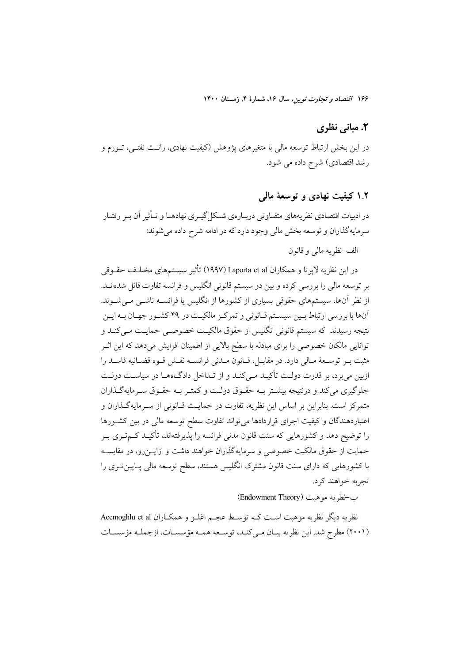#### ٢. مياني نظري

در این بخش ارتباط توسعه مالی با متغیرهای پژوهش (کیفیت نهادی، رانـت نفتـی، تــورم و رشد اقتصادی) شرح داده می شود.

#### ۱.۲ کیفیت نهادی و توسعهٔ مالی

در ادبیات اقتصادی نظریههای متفـاوتی دربـارهی شـكل&یـری نهادهـا و تـأثیر آن بـر رفتـار سرمايهگذاران و توسعه بخش مالي وجود دارد كه در ادامه شرح داده مي شوند:

الف-نظريه مالي و قانون

در این نظریه لایرتا و همکاران Laporta et al (١٩٩٧) تأثیر سیستمهای مختلـف حقــوقی بر توسعه مالی را بررسی کرده و بین دو سیستم قانونی انگلیس و فرانسه تفاوت قائل شدهانــد. از نظر آنها، سیستمهای حقوقی بسیاری از کشورها از انگلیس یا فرانســه ناشــی مــیشــوند. آنها با بررسی ارتباط بـین سیسـتم قـانونی و تمرکـز مالکیـت در ۴۹ کشـور جهـان بـه ایـن نتیجه رسیدند که سیستم قانونی انگلیس از حقوق مالکیت خصوصبی حمایـت مـی کنـد و توانایی مالکان خصوصی را برای مبادله با سطح بالایی از اطمینان افزایش می دهد که این اثـر مثبت بـر توسـعهٔ مـالي دارد. در مقابـل، قـانون مـدني فرانســه نقـش قـوه قضـائيه فاسـد را ازبین می برد، بر قدرت دولت تأکیـد مـی کنـد و از تـداخل دادگـاههـا در سیاسـت دولـت جلوگیری می کند و درنتیجه بیشتر بـه حقـوق دولـت و کمتـر بـه حقـوق سـرمایهگـذاران متمرکز است. بنابراین بر اساس این نظریه، تفاوت در حمایـت قـانونی از سـرمایهگـذاران و اعتباردهندگان و کیفیت اجرای قراردادها می تواند تفاوت سطح توسعه مالی در بین کشـورها را توضیح دهد و کشورهایی که سنت قانون مدنی فرانسه را پذیرفتهاند، تأکیـد کــمتــری بــر حمایت از حقوق مالکیت خصوصی و سرمایهگذاران خواهند داشت و ازایــزرو، در مقایســه با کشورهایی که دارای سنت قانون مشترک انگلیس هستند، سطح توسعه مالی پـایینتــری را تجربه خواهند کړد.

ب-نظريه موهبت (Endowment Theory)

نظريه ديگر نظريه موهبت است كـه توسـط عجـم اغلـو و همكـاران Acemoghlu et al (۲۰۰۱) مطرح شد. این نظریه بیـان مـی کنـد، توسـعه همـه مؤسسـات، ازجملـه مؤسسـات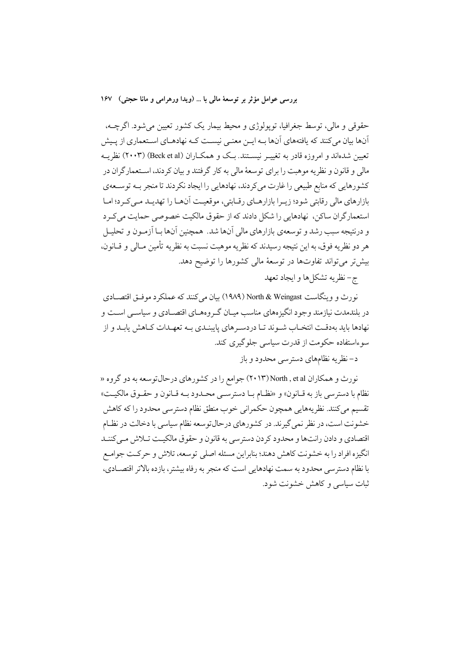حقوقي و مالي، توسط جغرافيا، تويولوژي و محيط بيمار يک کشور تعيين مي شود. اگرچــه، اّنها بیان میکنند که یافتههای اّنها بـه ایــن معنـی نیســت کـه نهادهـای اسـتعماری از پـیش تعیین شدهاند و امروزه قادر به تغییــر نیســتند. بـک و همکــاران (Beck et al) (۲۰۰۳) نظر یــه مالی و قانون و نظریه موهبت را برای توسعهٔ مالی به کار گرفتند و بیان کردند، اسـتعمارگران در کشورهایی که منابع طبیعی را غارت میکردند، نهادهایی را ایجاد نکردند تا منجر بـه توسـعهی بازارهای مالی رقابتی شود؛ زیـرا بازارهـای رقـابتی، موقعیـت اَنهـا را تهدیـد مـی کـرد؛ امـا استعمارگران ساکن، نهادهایی را شکل دادند که از حقوق مالکیت خصوصی حمایت می کرد و درنتیجه سبب رشد و توسعهی بازارهای مالی آنها شد. همچنین آنها بـا آزمـون و تحلیـل هر دو نظريه فوق، به اين نتيجه رسيدند كه نظريه موهبت نسبت به نظريه تأمين مـالي و قــانون، بیش تر می تواند تفاوتها در توسعهٔ مالی کشورها را توضیح دهد.

ج-نظريه تشكلها و ايجاد تعهد

نورث و وينگاست North & Weingast (١٩٨٩) بيان مي كنند كه عملكرد موفـق اقتصــادي در بلندمدت نیازمند وجود انگیزههای مناسب میـان گـروههـای اقتصـادی و سیاسـی اســت و نهادها باید بهدقت انتخـاب شـوند تـا دردسـرهای پایبنـدی بـه تعهـدات كـاهش پابـد و از سوءاستفاده حکومت از قدرت سیاسی جلوگیری کند.

د– نظر یه نظامهای دسترسی محدود و باز

نورث و همکاران North , et al (۲۰۱۳) جوامع را در کشورهای درحال توسعه به دو گروه « نظام با دسترسي باز به قـانون» و «نظـام بـا دسترسـي محـدود بـه قـانون و حقـوق مالكيـت» تقسیم میکنند. نظریههایی همچون حکمرانی خوب منطق نظام دسترسی محدود را که کاهش خشونت است، در نظر نمی گیرند. در کشورهای درحال توسعه نظام سیاسی با دخالت در نظـام اقتصادي و دادن رانتها و محدود كردن دسترسي به قانون و حقوق مالكيت تـلاش مـي كننـد انگیزه افراد را به خشونت کاهش دهند؛ بنابراین مسئله اصلی توسعه، تلاش و حرکت جوامـع با نظام دسترسی محدود به سمت نهادهایی است که منجر به رفاه بیشتر، بازده بالاتر اقتصـادی، ثبات سیاسی و کاهش خشونت شود.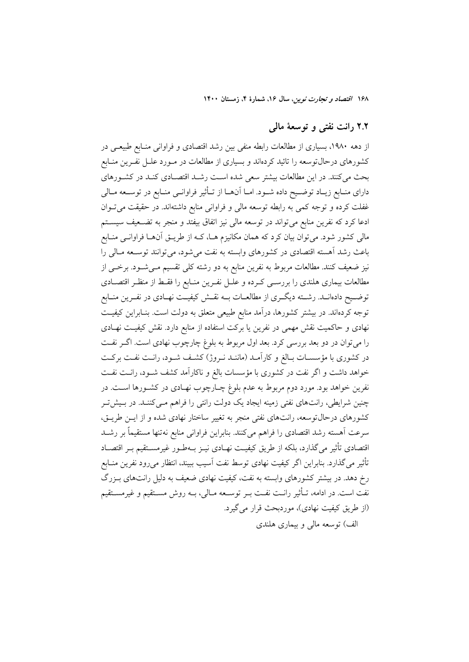# ۲.۲ رانت نفتی و توسعهٔ مالی

از دهه ۱۹۸۰، بسیاری از مطالعات رابطه منفی بین رشد اقتصادی و فراوانی منـابع طبیعـی در کشورهای درحالتوسعه را تائید کردهاند و بسیاری از مطالعات در مـورد علــل نفــرین منــابع بحث می کنند. در این مطالعات بیشتر سعی شده است رشـد اقتصـادی کنـد در کشـورهای دارای منـابع زیـاد توضـیح داده شـود. امـا آنهـا از تـأثیر فراوانـی منـابع در توســعه مـالی غفلت کرده و توجه کمی به رابطه توسعه مالی و فراوانی منابع داشتهاند. در حقیقت میتوان ادعا کرد که نفرین منابع میتواند در توسعه مالی نیز اتفاق بیفتد و منجر به تضـعیف سیسـتم مالی کشور شود. میتوان بیان کرد که همان مکانیزم هـا، کـه از طریــق آنهــا فراوانــی منــابع باعث رشد آهسته اقتصادی در کشورهای وابسته به نفت می شود، می توانند توسـعه مـالی را نیز ضعیف کنند. مطالعات مربوط به نفرین منابع به دو رشته کلی تقسیم مـیشــود. برخــی از مطالعات بیماری هلندی را بررسـی کـرده و علــل نفــرین منــابع را فقــط از منظـر اقتصــادی توضـيح دادهانــد. رشــته ديگــري از مطالعــات بــه نقــش كيفيــت نهــادي در نفــرين منــابع توجه کردهاند. در بیشتر کشورها، درآمد منابع طبیعی متعلق به دولت است. بنـابراین کیفیـت نهادی و حاکمیت نقش مهمی در نفرین یا برکت استفاده از منابع دارد. نقش کیفیـت نهـادی را میتوان در دو بعد بررسی کرد. بعد اول مربوط به بلوغ چارچوب نهادی است. اگـر نفـت در کشوری با مؤسسـات بـالغ و کاراّمـد (ماننـد نـروژ) کشـف شـود، رانـت نفـت برکـت خواهد داشت و اگر نفت در کشوری با مؤسسات بالغ و ناکارآمد کشف شـود، رانـت نفـت نفرین خواهد بود. مورد دوم مربوط به عدم بلوغ چـارچوب نهـادی در کشـورها اسـت. در چنین شرایطی، رانتهای نفتی زمینه ایجاد یک دولت رانتی را فراهم مـیکننـد. در بـیشتر کشورهای درحال توسعه، رانتهای نفتی منجر به تغییر ساختار نهادی شده و از ایـن طریـق، سرعت اَهسته رشد اقتصادي را فراهم ميكنند. بنابراين فراواني منابع نهتنها مستقيماً بر رشـد اقتصادی تأثیر میگذارد، بلکه از طریق کیفیـت نهـادی نیــز بــهطــور غیرمســتقیم بــر اقتصــاد تأثیر میگذارد. بنابراین اگر کیفیت نهادی توسط نفت آسیب ببیند، انتظار میرود نفرین منـابع رخ دهد. در بیشتر کشورهای وابسته به نفت، کیفیت نهادی ضعیف به دلیل رانتهای بـزرگ نفت است. در ادامه، تـأثير رانـت نفـت بــر توســعه مــالي، بــه روش مســتقيم و غيرمســتقيم (از طريق كيفيت نهادي)، موردبحث قرار مي گيرد. الف) توسعه مالي و بيماري هلندي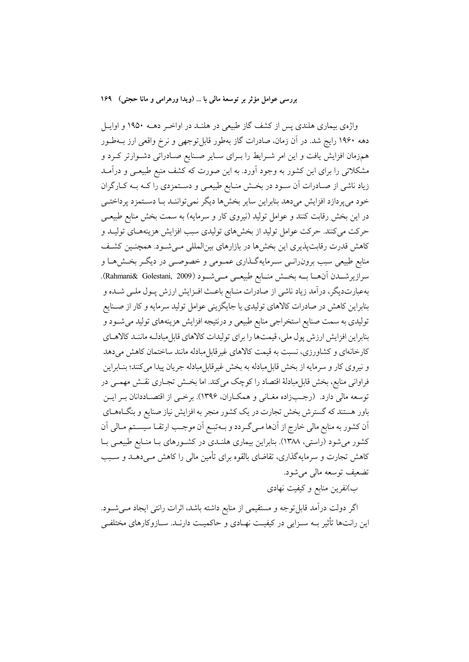واژهی بیماری هلندی پس از کشف گاز طبیعی در هلنـد در اواخـر دهــه ۱۹۵۰ و اوايــل دهه ۱۹۶۰ رایج شد. در آن زمان، صادرات گاز بهطور قابل توجهی و نرخ واقعی ارز بـهطـور همزمان افزایش یافت و این امر شـرایط را بـرای سـایر صـنایع صـادراتی دشـوارتر کـرد و مشکلاتی را برای این کشور به وجود آورد. به این صورت که کشف منبع طبیعـی و درآمــد زیاد ناشی از صـادرات آن سـود در بخـش منـابع طبیعـی و دسـتمزدی را کـه بــه کــارگران خود میپردازد افزایش میدهد بنابراین سایر بخشها دیگر نمیتواننـد بـا دسـتمزد پرداختـی در این بخش رقابت کنند و عوامل تولید (نیروی کار و سرمایه) به سمت بخش منابع طبیعـی حرکت میکنند. حرکت عوامل تولید از بخشهای تولیدی سبب افزایش هزینههـای تولیــد و کاهش قدرت رقابتپذیری این بخشها در بازارهای بینالمللی مـیشـود. همچنـین کشـف منابع طبیعی سبب برون٫انسی سـرمایهگـذاری عمـومی و خصوصـی در دیگـر بخـشهـا و سرازيرشـــدن آنهـــا بـــه بخــش منـــابع طبيعـــى مـــىشـــود (Rahmani& Golestani, 2009). بهعبارتدیگر، درآمد زیاد ناشی از صادرات منـابع باعـث افـزایش ارزش پـول ملـی شـده و بنابراین کاهش در صادرات کالاهای تولیدی یا جایگزینی عوامل تولید سرمایه و کار از صـنایع تولیدي به سمت صنایع استخراجي منابع طبيعي و درنتيجه افزايش هزينههاي توليد مي شـود و بنابراین افزایش ارزش یول ملی، قیمتها را برای تولیدات کالاهای قابل مبادلـه ماننـد کالاهـای کارخانهای و کشاورزی، نسبت به قیمت کالاهای غیر قابل مبادله مانند ساختمان کاهش می دهد و نيروي كار و سرمايه از بخش قابل مبادله به بخش غيرقابل مبادله جريان پيدا مي كنند؛ بنــابراين فراوانی منابع، بخش قابل مبادلهٔ اقتصاد را کوچک میکند. اما بخش تجـاری نقـش مهمـی در توسعه مالي دارد. (رجـبزاده مغـاني و همكـاران، ۱۳۹۶). برخـي از اقتصـاددانان بـر ايــن باور هستند که گسترش بخش تجارت در یک کشور منجر به افزایش نیاز صنایع و بنگـاههـای أن كشور به منابع مالي خارج از أنها مـي گـردد و بـهتبـع أن موجـب ارتقـا سيسـتم مـالي أن کشور می شود (راستی، ۱۳۸۸). بنابراین بیماری هلنـدی در کشـورهای بـا منـابع طبیعـی بـا کاهش تجارت و سرمایهگذاری، تقاضای بالقوه برای تأمین مالی را کاهش مـیدهــد و ســبب تضعيف توسعه مالي مي شود.

ب)نفرین منابع و کیفیت نهادی

اگر دولت درآمد قابل توجه و مستقیمی از منابع داشته باشد، اثرات رانتی ایجاد مــیشــود. این رانتها تأثیر بــه ســزایی در کیفیــت نهــادی و حاکمیــت دارنــد. ســازوکارهای مختلفــی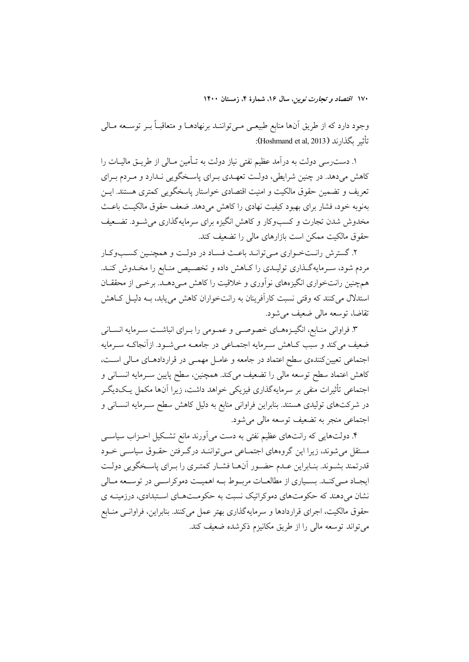وجود دارد که از طریق آنها منابع طبیعـی مـیتواننــد برنهادهــا و متعاقبــاً بــر توســعه مــالی تأثير بگذارند (Hoshmand et al, 2013):

۱. دست٫سی دولت به درآمد عظیم نفتی نیاز دولت به تـأمین مـالی از طریــق مالیــات را کاهش میدهد. در چنین شرایطی، دولت تعهـدی بـرای پاسـخگویی نـدارد و مـردم بـرای تعریف و تضمین حقوق مالکیت و امنیت اقتصادی خواستار یاسخگویی کمتری هستند. ایــن بهنوبه خود، فشار برای بهبود کیفیت نهادی را کاهش میدهد. ضعف حقوق مالکیـت باعـث مخدوش شدن تجارت و کسبوکار و کاهش انگیزه برای سرمایهگذاری می شـود. تضـعیف حقوق مالکیت ممکن است بازارهای مالی را تضعیف کند.

۲. گسترش رانـتخـواري مـي توانـد باعـث فسـاد در دولـت و همچنـين كسـبوكـار مردم شود، سـرمايهگـذاري توليـدي را كـاهش داده و تخصـيص منـابع را مخـدوش كنـد. همچنین رانتخواری انگیزههای نوآوری و خلاقیت را کاهش مے دهـد. برخــی از محققــان استدلال می کنند که وقتی نسبت کارآفرینان به رانتخواران کاهش می یابد، بـه دلیـل کــاهش تقاضا، توسعه مالي ضعيف مي شود.

۳. فراوانی منـابع، انگیــزههــای خصوصــی و عمــومی را بــرای انباشــت ســرمایه انســانی ضعیف می کند و سبب کــاهش ســرمایه اجتمــاعی در جامعــه مــیشــود. ازآنجاکــه ســرمایه اجتماعی تعیین کنندهی سطح اعتماد در جامعه و عامـل مهمـی در قراردادهـای مـالی اسـت، كاهش اعتماد سطح توسعه مالى را تضعيف مىكند. همچنين، سطح پايين سـرمايه انســانى و اجتماعی تأثیرات منفی بر سرمایهگذاری فیزیکی خواهد داشت، زیرا آنها مکمل یـکدیگـر در شرکتهای تولیدی هستند. بنابراین فراوانی منابع به دلیل کاهش سطح ســرمایه انســانی و اجتماعي منجر به تضعيف توسعه مالي مي شود.

۴. دولتهایی که رانتهای عظیم نفتی به دست میآورند مانع تشکیل احــزاب سیاســی مستقل می شوند، زیرا این گروههای اجتمـاعی مـی تواننـد درگـرفتن حقـوق سیاسـی خـود قدرتمند بشـوند. بنـابراين عـدم حضـور آنهـا فشـار كمتـرى را بـراي ياسـخگويي دولـت ایجـاد مـی کنـد. بسـیاری از مطالعـات مربـوط بـه اهمیـت دموکراســی در توســعه مــالی نشان میدهند که حکومتهای دموکراتیک نسبت به حکومـتهـای اسـتبدادی، درزمینـه ی حقوق مالکیت، اجرای قراردادها و سرمایهگذاری بهتر عمل میکنند. بنابراین، فراوانـی منـابع می تواند توسعه مالی را از طریق مکانیزم ذکرشده ضعیف کند.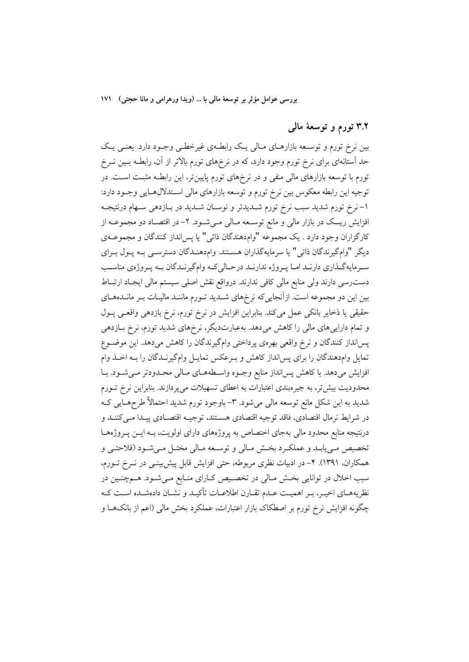۳.۲ تورم و توسعهٔ مالی

بین نرخ تورم و توسعه بازارهای مالی یک رابطهی غیرخطی وجـود دارد. یعنـی یـک حد استانهای برای نرخ تورم وجود دارد، که در نرخهای تورم بالاتر از آن، رابطـه بــین نــرخ تورم با توسعه بازارهای مالی منفی و در نرخهای تورم پایینتر، این رابطـه مثبـت اسـت. در توجیه این رابطه معکوس بین نرخ تورم و توسعه بازارهای مالی اســتدلالهــایی وجــود دارد: ۱– نرخ تورم شدید سبب نرخ تورم شـدیدتر و نوسـان شـدید در بـازدهی سـهام درنتیجـه افزایش ریسک در بازار مالی و مانع توسـعه مـالی مـیشـود. ۲– در اقتصـاد دو مجموعــه از كارگزاران وجود دارد . يک مجموعه "وام دهندگان ذاتي" يا پس انداز كنندگان و مجموعــهي ديگر "وام گيرندگان ذاتي" يا سرمايهگذاران هستند. وام دهنـدگان دسترسـي بـه پـول بـراي سرمایهگذاری دارنـد امـا پـروژه ندارنـد درحـالیکه وامگیرنـدگان بـه پـروژهي مناسـب دست رسی دارند ولی منابع مالی کافی ندارند. درواقع نقش اصلی سیستم مالی ایجـاد ارتبـاط بین این دو مجموعه است. ازآنجایی که نرخهای شـدید تـورم ماننـد مالیـات بـر مانـدههـای حقیقی یا ذخایر بانکی عمل میکند. بنابراین افزایش در نرخ تورم، نرخ بازدهی واقعی پـول و تمام دارایی های مالی را کاهش میدهد. بهعبارتدیگر، نرخهای شدید تورم، نرخ بـازدهی پسانداز کنندگان و نرخ واقعی بهرهی پرداختی وامگیرندگان را کاهش میدهد. این موضوع تمایل وامدهندگان را برای پس انداز کاهش و بـرعکس تمایـل وامگیرنـدگان را بـه اخـذ وام افزایش میدهد. با کاهش پسانداز منابع وجـوه واسـطههـای مـالی محـدودتر مـیشـود. بـا محدودیت بیش تر، به جیرهبندی اعتبارات به اعطای تسهیلات میپردازند. بنابراین نرخ تــورم شدید به این شکل مانع توسعه مالی میشود. ۳- باوجود تورم شدید احتمالاً طرحهـایی کـه در شرايط نرمال اقتصادي، فاقد توجيه اقتصادي هسـتند، توجيــه اقتصـادي پيــدا مــيكننــد و درنتیجه منابع محدود مالی بهجای اختصاص به پروژههای دارای اولویت، بـه ایــن پــروژههــا تخصيص مي،يابـد و عملكـرد بخـش مـالي و توسـعه مـالي مختـل مـيشـود (فلاحتـي و همکاران، ۱۳۹۱). ۴- در ادبیات نظری مربوطه، حتی افزایش قابل پیش بینسی در نــرخ تــورم، سبب اخلال در توانایی بخـش مـالی در تخصـیص کـارای منـابع مـیشـود. هـمچنـین در نظریههـای اخیـر، بـر اهمیـت عـدم تقـارن اطلاعـات تأکیـد و نشـان دادهشـده اسـت کـه چگونه افزایش نرخ تورم بر اصطکاک بازار اعتبارات، عملکرد بخش مالی (اعم از بانکهـا و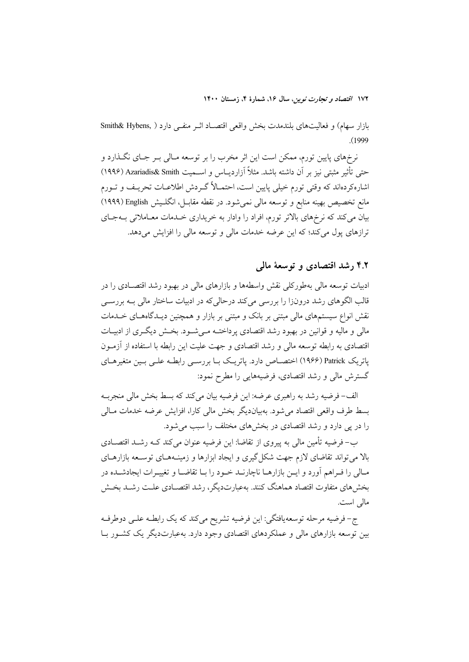بازار سهام) و فعالیتهای بلندمدت بخش واقعی اقتصـاد اثـر منفـی دارد ( Smith& Hybens,  $(1999)$ 

نرخهاي پايين تورم، ممكن است اين اثر مخرب را بر توسعه مـالي بـر جـاي نگــذارد و حتى تأثير مثبتي نيز بر أن داشته باشد. مثلاً أزارديــاس و اســميت Azariadis& Smith (١٩٩۶) اشارهکردهاند که وقتی تورم خیلی پایین است، احتمـالاً گــردش اطلاعــات تحریــف و تــورم مانع تخصیص بهینه منابع و توسعه مالی نمیشود. در نقطه مقابــل، انگلــیش English (۱۹۹۹) بیان میکند که نرخهای بالاتر تورم، افراد را وادار به خریداری خـدمات معـاملاتی بــهجـای ترازهای یول می کند؛ که این عرضه خدمات مالی و توسعه مالی را افزایش می دهد.

#### ۴.۲ رشد اقتصادی و توسعهٔ مالی

ادبیات توسعه مالی بهطورکلی نقش واسطهها و بازارهای مالی در بهبود رشد اقتصـادی را در قالب الگوهای رشد درونزا را بررسی میکند درحالیکه در ادبیات ساختار مالی بـه بررســی نقش انواع سیستمهای مالی مبتنی بر بانک و مبتنی بر بازار و همچنین دیـدگاههــای خــدمات مالي و ماليه و قوانين در بهبود رشد اقتصادي پرداختــه مــي شــود. بخــش ديگــري از ادبيــات اقتصادی به رابطه توسعه مالی و رشد اقتصادی و جهت علیت این رابطه با استفاده از آزمـون پاتریک Patrick (۱۹۶۶) اختصـاص دارد. پاتریـک بـا بررسـی رابطـه علـی بـین متغیرهـای گسترش مالی و رشد اقتصادی، فرضیههایی را مطرح نمود:

الف- فرضيه رشد به راهبري عرضه: اين فرضيه بيان مي كند كه بسط بخش مالي منجربـه بسط طرف واقعی اقتصاد می شود. بهبیاندیگر بخش مالی کارا، افزایش عرضه خدمات مـالی را در پی دارد و رشد اقتصادی در بخشهای مختلف را سبب می شود.

ب– فرضیه تأمین مالی به پیروی از تقاضا: این فرضیه عنوان می کند کــه رشــد اقتصــادی بالا می تواند تقاضای لازم جهت شکل گیری و ایجاد ابزارها و زمینـههـای توسـعه بازارهـای مـالی را فـراهم آورد و ایــن بازارهــا ناچارنــد خــود را بــا تقاضــا و تغییــرات ایجادشــده در بخش های متفاوت اقتصاد هماهنگ کنند. بهعبارتدیگر، رشد اقتصـادی علـت رشـد بخـش مالي است.

ج- فرضیه مرحله توسعهیافتگی: این فرضیه تشریح میکند که یک رابطـه علـی دوطرفـه بین توسعه بازارهای مالی و عملکردهای اقتصادی وجود دارد. بهعبارتدیگر یک کشـور بــا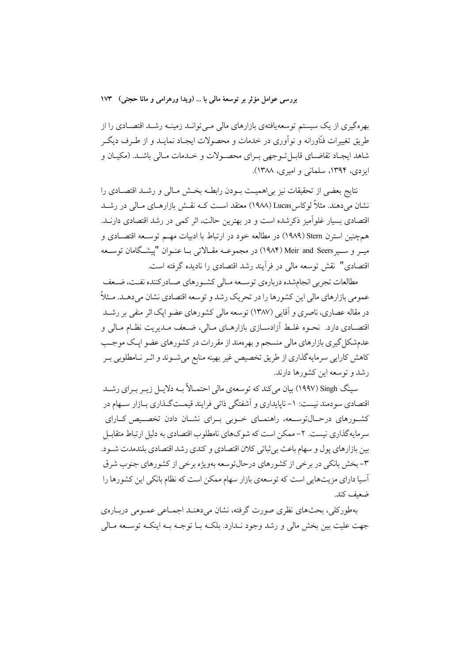بهرهگیری از یک سیستم توسعهیافتهی بازارهای مالی مـیتوانــد زمینــه رشــد اقتصــادی را از طریق تغییرات فنّاورانه و نواَوری در خدمات و محصولات ایجـاد نمایــد و از طــرف دیگــر شاهد ايجـاد تقاضـاي قابـلتـوجهي بـراي محصـولات و خـدمات مـالي باشـد. (مكيـان و ایزدی، ۱۳۹۴، سلمانی و امیری، ۱۳۸۸).

نتايج بعضي از تحقيقات نيز بي|هميـت بــودن رابطــه بخــش مــالي و رشــد اقتصــادي را نشان می،دهند. مثلاً لوکاسKucas (۱۹۸۸) معتقد اسـت کــه نقــش بازارهــای مــالی در رشــد اقتصادی بسیار غلواًمیز ذکرشده است و در بهترین حالت، اثر کمی در رشد اقتصادی دارنـد. همچنین استرن Stern (۱۹۸۹) در مطالعه خود در ارتباط با ادبیات مهــم توســعه اقتصــادی و میــر و ســیر Meir and Seers (۱۹۸۴) در مجموعــه مقــالاتی بــا عنــوان "پیشــگامان توســعه اقتصادی" نقش توسعه مالی در فرآیند رشد اقتصادی را نادیده گرفته است.

مطالعات تجربی انجامشده دربارهی توسـعه مـالی کشـورهای صـادرکننده نفـت، ضـعف عمومی بازارهای مالی این کشورها را در تحریک رشد و توسعه اقتصادی نشان می دهـد. مـثلاً در مقاله عصاری، ناصری و آقایی (۱۳۸۷) توسعه مالی کشورهای عضو ایک اثر منفی بر رشــد اقتصــادي دارد. نحــوه غلــط اّزادســازي بازارهــاي مــالي، ضــعف مــديريت نظــام مــالي و عدمشکل گیری بازارهای مالی منسجم و بهرممند از مقررات در کشورهای عضو ایـک موجـب کاهش کارایی سرمایهگذاری از طریق تخصیص غیر بهینه منابع میشـوند و اثـر نـامطلوبی بـر رشد و توسعه این کشورها دارند.

سینگ Singh (۱۹۹۷) بیان میکند که توسعهی مالی احتمـالاً بـه دلایـل زیـر بـرای رشــد اقتصادی سودمند نیست: ۱– ناپایداری و اَشفتگی ذاتی فرایند قیمـتگـذاری بـازار سـهام در کشورهای درحـالتوسـعه، راهنمـای خـوبی بـرای نشـان دادن تخصـیص کـارای سرمایهگذاری نیست. ۲– ممکن است که شوکهای نامطلوب اقتصادی به دلیل ارتباط متقابـل بين بازارهاي يول و سهام باعث بي ثباتي كلان اقتصادي و كندي رشد اقتصادي بلندمدت شـود. ۳- بخش بانکی در برخی از کشورهای درحال توسعه بهویژه برخی از کشورهای جنوب شرق آسیا دارای مزیتهای<sub>ی</sub> است که توسعهی بازار سهام ممکن است که نظام بانکی این کشورها را ضعف كند.

بهطورکلی، بحثهای نظری صورت گرفته، نشان میدهنـد اجمـاعی عمـومی دربـارهی جهت عليت بين بخش مالي و رشد وجود نـدارد. بلكــه بــا توجــه بــه اينكــه توســعه مــالي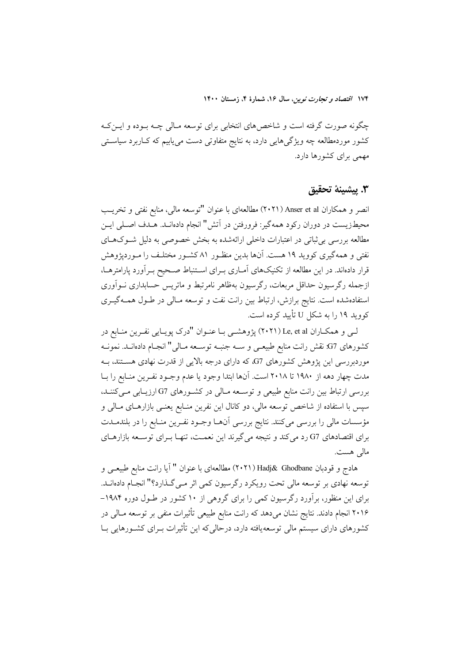چگونه صورت گرفته است و شاخصهای انتخابی برای توسعه مـالی چــه بــوده و ایــن کــه کشور موردمطالعه چه ویژگیهایی دارد، به نتایج متفاوتی دست می یابیم که کـاربرد سیاسـتی مهمی برای کشورها دارد.

#### ٣. يشينة تحقيق

انصر و همکاران Anser et al (۲۰۲۱) مطالعهای با عنوان "توسعه مالی، منابع نفتی و تخریب محیطزیست در دوران رکود همهگیر: فرورفتن در آتش" انجام دادهانـد. هـدف اصـلی ایــن مطالعه بررسی بی ثباتی در اعتبارات داخلی ارائهشده به بخش خصوصی به دلیل شـوکهـای نفتی و همهگیری کووید ۱۹ هست. آنها بدین منظـور ۸۱ کشـور مختلـف را مـوردپژوهش قرار دادهاند. در این مطالعه از تکنیکهای آمـاری بـرای اسـتنباط صـحیح بـرآورد یارامترهـا، ازجمله رگرسیون حداقل مربعات، رگرسیون بهظاهر نامرتبط و ماتریس حسابداری نــواَوری استفادهشده است. نتایج برازش، ارتباط بین رانت نفت و توسعه مـالی در طـول همـهگیـری کووید ۱۹ را به شکل U تأیید کرده است.

لبي و همكـاران Le, et al (٢٠٢١) پژوهشـي بـا عنـوان "درك پويـايي نفـرين منـابع در كشورهاي G7: نقش رانت منابع طبيعـي و ســه جنبــه توســعه مــالي" انجــام دادهانــد. نمونــه موردبررسی این پژوهش کشورهای G7، که دارای درجه بالایی از قدرت نهادی هستند، بـه مدت چهار دهه از ۱۹۸۰ تا ۲۰۱۸ است. آنها ابتدا وجود یا عدم وجـود نفـرین منـابع را بـا بررسی ارتباط بین رانت منابع طبیعی و توسـعه مـالی در کشـورهای G7 ارزیـابی مـیکننـد، سپس با استفاده از شاخص توسعه مالی، دو کانال این نفرین منـابع یعنــی بازارهــای مــالی و مؤسسات مالی را بررسی میکنند. نتایج بررسی آنهــا وجــود نفــرین منــابع را در بلندمــدت برای اقتصادهای G7 رد می کند و نتیجه می گیرند این نعمت، تنهـا بــرای توســعه بازارهــای مالي هست.

هادج و قودبان Hadj& Ghodbane (۲۰۲۱) مطالعهای با عنوان " آیا رانت منابع طبیعـی و توسعه نهادي بر توسعه مالي تحت رويكرد رگرسيون كمي اثر مـيگـذارد؟" انجـام دادهانــد. برای این منظور، برآورد رگرسیون کمی را برای گروهی از ۱۰ کشور در طـول دوره ۱۹۸۴– ۲۰۱۶ انجام دادند. نتایج نشان میدهد که رانت منابع طبیعی تأثیرات منفی بر توسعه مـالی در کشورهای دارای سیستم مالی توسعه یافته دارد، درحالی که این تأثیرات بـرای کشـورهایی بـا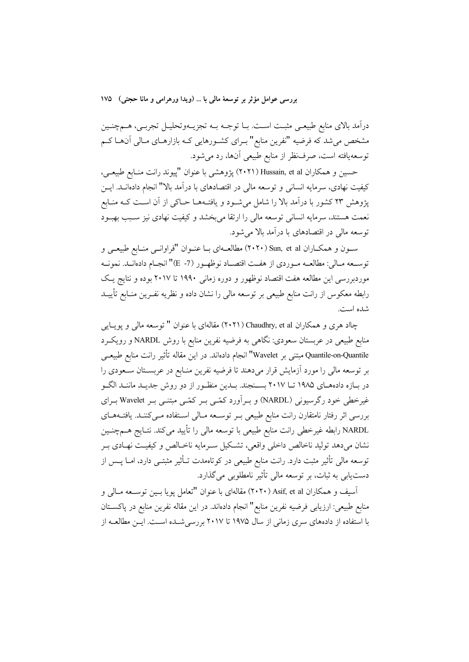درآمد بالای منابع طبیعــی مثبــت اســت. بــا توجــه بــه تجزیــهوتحلیــل تجربــی، هـــمچنــین مشخص می شد که فرضیه "نفرین منابع" بـرای کشـورهایی کـه بازارهـای مـالی آنهـا کـم توسعهیافته است، صرف ظر از منابع طبیعی آنها، رد میشود.

حسین و همکاران Hussain, et al (۲۰۲۱) پژوهشی با عنوان "پیوند رانت منـابع طبیعـی، کیفیت نهادی، سرمایه انسانی و توسعه مالی در اقتصادهای با درآمد بالا" انجام دادهانــد. ایــن پژوهش ۲۳ کشور با درآمد بالا را شامل میشود و یافتـههـا حـاکی از آن اسـت کـه منـابع نعمت هستند، سرمایه انسانی توسعه مالی را ارتقا میبخشد و کیفیت نهادی نیز سـبب بهبـود توسعه مالی در اقتصادهای با درآمد بالا می شود.

سون و همکاران Sun, et al (۲۰۲۰) مطالعهای با عنوان "فراوانسی منابع طبیعی و توسـعه مـالي: مطالعــه مـوردي از هفـت اقتصــاد نوظهـور (7- E)" انجـام دادهانــد. نمونــه موردبررسی این مطالعه هفت اقتصاد نوظهور و دوره زمانی ۱۹۹۰ تا ۲۰۱۷ بوده و نتایج یک رابطه معکوس از رانت منابع طبیعی بر توسعه مالی را نشان داده و نظریه نفـرین منــابع تأییــد شده است.

چااد هری و همکاران Chaudhry, et al (۲۰۲۱) مقالهای با عنوان " توسعه مالی و پویایی منابع طبیعی در عربستان سعودی: نگاهی به فرضیه نفرین منابع با روش NARDL و رویک رد Quantile-on-Quantile مبتنى بر Wavelet" انجام دادهاند. در اين مقاله تأثير رانت منابع طبيعــي بر توسعه مالی را مورد آزمایش قرار میدهند تا فرضیه نفرین منـابع در عربسـتان سـعودی را در بـازه دادههـاي ۱۹۸۵ تــا ۲۰۱۷ بســنجند. بــدين منظــور از دو روش جديــد ماننــد الگــو غیرخطی خود رگرسیونی (NARDL) و بـرآورد کمّـی بـر کمّـی مبتنـی بـر Wavelet بـرای بررسی اثر رفتار نامتقارن رانت منابع طبیعی بـر توسـعه مـالی اسـتفاده مـیکننـد. یافتـههـای NARDL رابطه غیرخطی رانت منابع طبیعی با توسعه مالی را تأیید میکند. نتـایج هــمچنــین نشان میدهد تولید ناخالص داخلی واقعی، تشکیل سـرمایه ناخـالص و کیفیـت نهـادی بـر توسعه مالی تأثیر مثبت دارد. رانت منابع طبیعی در کوتاهمدت تـأثیر مثبتــی دارد، امــا پــس از دست یابی به ثبات، بر توسعه مالی تأثیر نامطلوبی می گذارد.

آسيف و همكاران Asif, et al (۲۰۲۰) مقالهاي با عنوان "تعامل پويا بـين توســعه مــالي و منابع طبيعي: ارزيابي فرضيه نفرين منابع" انجام دادهاند. در اين مقاله نفرين منابع در پاكســتان با استفاده از دادههای سری زمانی از سال ۱۹۷۵ تا ۲۰۱۷ بررسی شـده اسـت. ایــن مطالعــه از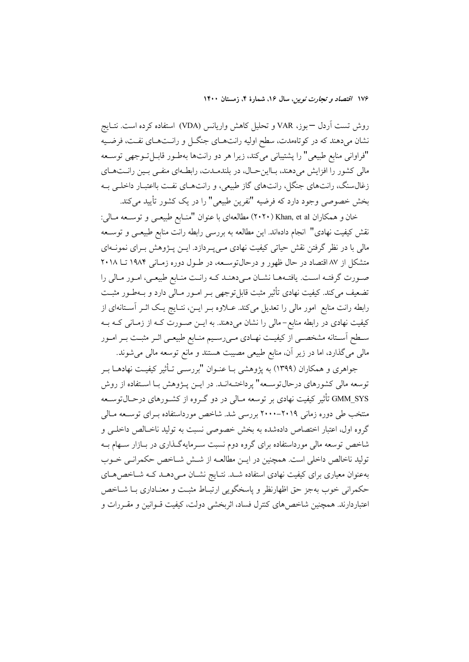روش تست اَردل —بوز، VAR و تحلیل کاهش واریانس (VDA) استفاده کرده است. نتــایج نشان میدهند که در کوتاهمدت، سطح اولیه رانتهای جنگل و رانـتهـای نفـت، فرضـیه "فراوانی منابع طبیعی" را پشتیبانی میکند، زیرا هر دو رانتها بهطـور قابـلتـوجهی توسـعه مالی کشور را افزایش میدهند، بـااینحـال، در بلندمـدت، رابطـهای منفـی بـین رانـتهـای زغالسنگ، رانتهای جنگل، رانتهای گاز طبیعی، و رانتهای نفت بااعتبار داخلی به بخش خصوصی وجود دارد که فرضیه "نفرین طبیعی" را در یک کشور تأیید میکند.

خان و همکاران Khan, et al (۲۰۲۰) مطالعهای با عنوان "منـابع طبیعــی و توســعه مــالی: نقش کیفیت نهادی" انجام دادهاند. این مطالعه به بررسی رابطه رانت منابع طبیعـی و توســعه مالی با در نظر گرفتن نقش حیاتی کیفیت نهادی مے پـردازد. ایــن پــژوهش بــرای نمونــهای متشکل از ۸۷ اقتصاد در حال ظهور و درحال توسـعه، در طـول دوره زمـانی ۱۹۸۴ تــا ۲۰۱۸ صورت گرفتـه اسـت. يافتـههـا نشـان مـىدهنـد كـه رانـت منـابع طبيعـى، امـور مـالى را تضعیف میکند. کیفیت نهادی تأثیر مثبت قابل توجهی بـر امـور مـالی دارد و بـهطـور مثبـت رابطه رانت منابع امور مالی را تعدیل میکند. عـلاوه بـر ایــن، نتــایج یـک اثـر آسـتانهای از کیفیت نهادی در رابطه منابع–مالی را نشان میدهند. به ایــن صــورت کــه از زمــانی کــه بــه سـطح اسـتانه مشخصـي از كيفيـت نهـادي مـي(سـيم منـابع طبيعـي اثـر مثبـت بـر امـور مالی میگذارد، اما در زیر آن، منابع طبیعی مصیبت هستند و مانع توسعه مالی میشوند.

جواهری و همکاران (۱۳۹۹) به پژوهشی بـا عنــوان "بررســی تــأثیر کیفیــت نهادهــا بــر توسعه مالی کشورهای درحالتوسـعه" پرداختـهانـد. در ایــن پــژوهش بـا اسـتفاده از روش GMM\_SYS تأثیر کیفیت نهادی بر توسعه مـالی در دو گــروه از کشــورهای درحــال توســعه منتخب طی دوره زمانی ۲۰۱۹–۲۰۰۰ بررسی شد. شاخص مورداستفاده بـرای توســعه مـالی گروه اول، اعتبار اختصاص دادهشده به بخش خصوصی نسبت به تولید ناخـالص داخلـی و شاخص توسعه مالی مورداستفاده برای گروه دوم نسبت سـرمایهگـذاری در بـازار سـهام بــه تولید ناخالص داخلی است. همچنین در ایـن مطالعــه از شــش شــاخص حکمرانــی خــوب بهعنوان معیاری برای کیفیت نهادی استفاده شـد. نتـایج نشـان مـی۵هـد کـه شـاخص۵حـای حکمرانی خوب بهجز حق اظهارنظر و پاسخگویی ارتبـاط مثبـت و معنـاداری بـا شــاخص اعتباردارند. همچنین شاخص های کنترل فساد، اثربخشی دولت، کیفیت قــوانین و مقــررات و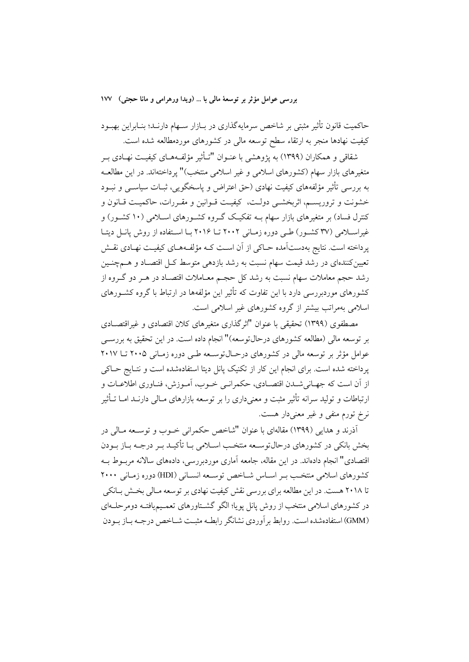حاکمیت قانون تأثیر مثبتی بر شاخص سرمایهگذاری در بـازار سـهام دارنـد؛ بنـابراین بهبـود کیفیت نهادها منجر به ارتقاء سطح توسعه مالی در کشورهای موردمطالعه شده است.

شقاقی و همکاران (۱۳۹۹) به یژوهشی با عنـوان "تـأثیر مؤلفـههـای کیفیـت نهـادی بـر متغیرهای بازار سهام (کشورهای اسلامی و غیر اسلامی منتخب)" یرداختهاند. در این مطالعـه به بررسی تأثیر مؤلفههای کیفیت نهادی (حق اعتراض و پاسخگویی، ثبـات سیاســی و نبــود خشونت و تروریسم، اثربخشـی دولـت، کیفیـت قـوانین و مقـررات، حاکمیـت قـانون و کنترل فساد) بر متغیرهای بازار سهام بــه تفکیـک گــروه کشــورهای اســلامی (۱۰ کشــور) و غیراسلامی (۳۷ کشور) طبی دوره زمانی ۲۰۰۲ تا ۲۰۱۶ با استفاده از روش پانـل دیتـا یرداخته است. نتایج بهدستآمده حـاکی از آن اسـت کـه مؤلفـههـای کیفیـت نهـادی نقـش تعیین کنندهای در رشد قیمت سهام نسبت به رشد بازدهی متوسط کــل اقتصــاد و هـــمچنــین رشد حجم معاملات سهام نسبت به رشد کل حجم معـاملات اقتصـاد در هـر دو گـروه از کشورهای موردبررسی دارد با این تفاوت که تأثیر این مؤلفهها در ارتباط با گروه کشــورهای اسلامی بهمراتب بیشتر از گروه کشورهای غیر اسلامی است.

مصطفوی (۱۳۹۹) تحقیقی یا عنوان "اثر گذاری متغیرهای کلان اقتصادی و غیراقتصـادی بر توسعه مالی (مطالعه کشورهای درحالتوسعه)" انجام داده است. در این تحقیق به بررســی عوامل مؤثر بر توسعه مالی در کشورهای درحـال1توسـعه طـی دوره زمـانی ۲۰۰۵ تــا ۲۰۱۷ پرداخته شده است. برای انجام این کار از تکنیک پانل دیتا استفادهشده است و نتـایج حــاکی از أن است كه جهـاني شـدن اقتصـادي، حكمرانـي خـوب، أمـوزش، فنـاوري اطلاعـات و ارتباطات و تولید سرانه تأثیر مثبت و معنیداری را بر توسعه بازارهای مـالی دارنــد امــا تــأثیر نرخ تورم منفی و غیر معنیدار هست.

أذرند و هدایی (۱۳۹۹) مقالهای با عنوان "شاخص حکمرانی خـوب و توسـعه مـالی در بخش بانکی در کشورهای درحالتوسـعه منتخـب اسـلامی بـا تأکیـد بـر درجـه بـاز بـودن اقتصادی" انجام دادهاند. در این مقاله، جامعه آماری موردبررسی، دادههای سالانه مربـوط بـه كشورهاي اسلامي منتخب بـر اسـاس شـاخص توسـعه انسـاني (HDI) دوره زمـاني ۲۰۰۰ تا ۲۰۱۸ هست. در این مطالعه برای بررسی نقش کیفیت نهادی بر توسعه مـالی بخـش بـانکی در کشورهای اسلامی منتخب از روش یانل یویا؛ الگو گشـتاورهای تعمـیمیافتـه دومرحلـهای (GMM) استفادهشده است. روابط بر آوردی نشانگر رابطـه مثبـت شــاخص درجـه بــاز بــودن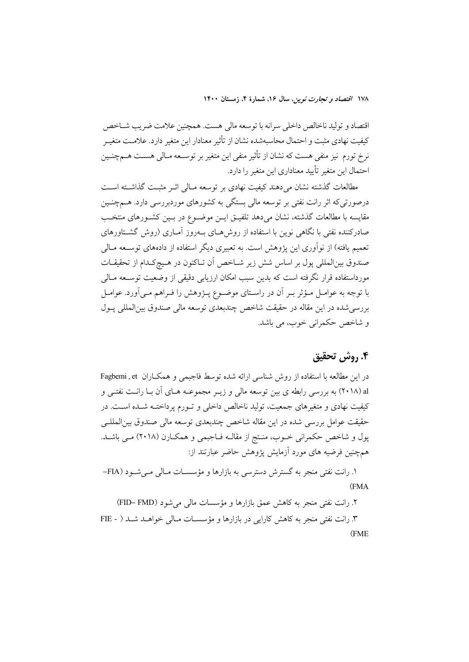اقتصاد و توليد ناخالص داخلي سرانه با توسعه مالي هست. همچنين علامت ضريب شـاخص كيفيت نهادي مثبت و احتمال محاسبهشده نشان از تأثير معنادار اين متغير دارد. علامـت متغيـر نرخ تورم نیز منفی هست که نشان از تأثیر منفی این متغیر بر توسـعه مـالی هسـت هــمچنـین احتمال اين متغير تأييد معناداري اين متغير را دارد.

مطالعات گذشته نشان میدهند کیفیت نهادی بر توسعه مـالی اثـر مثبـت گذاشـته اسـت درصورتی که اثر رانت نفتی بر توسعه مالی بستگی به کشورهای موردبررسی دارد. هــمچنــین مقایسه با مطالعات گذشته، نشان میدهد تلفیـق ایـن موضـوع در بـین کشـورهای منتخـب صادرکننده نفتی با نگاهی نوین با استفاده از روش۵حای بـهروز آمـاری (روش گشــتاورهای تعمیم یافته) از نوآوری این یژوهش است. به تعبیری دیگر استفاده از دادههای توســعه مــالی صندوق بين|لمللي پول بر اساس شش زير شــاخص آن تــاكنون در هــيچكـدام از تحقيقــات مورداستفاده قرار نگرفته است که بدین سبب امکان ارزیابی دقیقی از وضعیت توســعه مــالی با توجه به عوامـل مـؤثر بـر آن در راسـتای موضـوع پـژوهش را فـراهم مـی|َورد. عوامـل بررسی شده در این مقاله در حقیقت شاخص چندبعدی توسعه مالی صندوق بین المللی پـول و شاخص حکمرانی خوب، می باشد.

## ۴. روش تحقیق

در این مطالعه با استفاده از روش شناسی ارائه شده توسط فاجبمی و همکاران Fagbemi , et al (٢٠١٨) به بررسي رابطه ي بين توسعه مالي و زيـر مجموعـه هـاي آن بـا رانـت نفتـي و کیفیت نهادی و متغیرهای جمعیت، تولید ناخالص داخلی و تـورم پرداختـه شـده اسـت. در حقیقت عوامل بررسی شده در این مقاله شاخص چندبعدی توسعه مالی صندوق بین المللـی پول و شاخص حکمرانی خــوب، منـتج از مقالــه فــاجبمی و همکــارن (۲۰۱۸) مــی باشــد. همچنین فرضیه های مورد آزمایش یژوهش حاضر عبارتند از:

۱. رانت نفتی منجر به گسترش دسترسی به بازارها و مؤسسـات مـالی مـیشـود (FIA-(FMA

۲. رانت نفتی منجر به کاهش عمق بازارها و مؤسسات مالی می شود (FID– FMD)

۳. رانت نفتی منجر به کاهش کارایی در بازارها و مؤسسـات مـالی خواهـد شـد ( - FIE (FME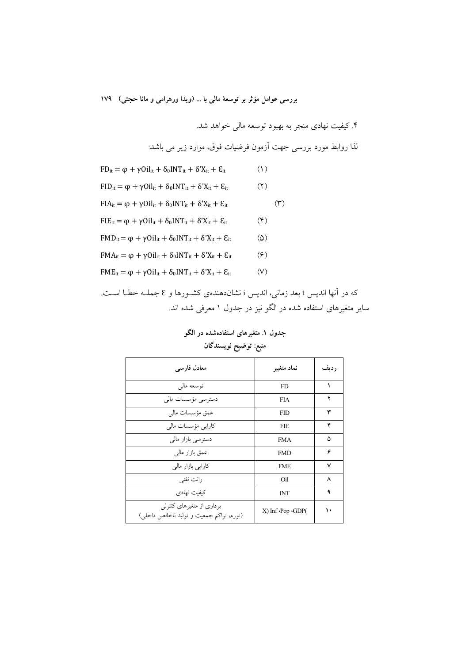۴. کیفیت نهادی منجر به بهبود توسعه مالی خواهد شد.

لذا روابط مورد بررسی جهت آزمون فرضیات فوق، موارد زیر می باشد:

- $(1)$  $FD_{it} = \varphi + \gamma Oil_{it} + \delta_0 INT_{it} + \delta' X_{it} + \varepsilon_{it}$
- $FID_{it} = \varphi + \gamma Oil_{it} + \delta_0 INT_{it} + \delta' X_{it} + \varepsilon_{it}$  $(7)$
- $FIA_{it} = \varphi + \gamma Oil_{it} + \delta_0 INT_{it} + \delta'X_{it} + \varepsilon_{it}$  $(1)$
- $FIE_{it} = \varphi + \gamma Oil_{it} + \delta_0 INT_{it} + \delta' X_{it} + \varepsilon_{it}$  $(\mathfrak{F})$
- $FMD_{it} = \varphi + \gamma Oil_{it} + \delta_0 INT_{it} + \delta'X_{it} + \varepsilon_{it}$  $\omega$
- $FMA_{it} = \varphi + \gamma Oil_{it} + \delta_0 INT_{it} + \delta'X_{it} + \varepsilon_{it}$  $(5)$
- $FME_{it} = \varphi + \gamma Oil_{it} + \delta_0 INT_{it} + \delta' X_{it} + \mathcal{E}_{it}$  $(V)$

که در آنها اندیس t بعد زمانی، اندیس i نشاندهندهی کشـورها و E جملـه خطـا اسـت. سایر متغیرهای استفاده شده در الگو نیز در جدول ۱ معرفی شده اند.

# جدول ۱. متغیرهای استفادهشده در الگو منبع: توضيح نويسندگان

| معادل فار سی                                                          | نماد متغيير                        | ر ديف |
|-----------------------------------------------------------------------|------------------------------------|-------|
| توسعه مالي                                                            | <b>FD</b>                          | ١     |
| دسترسى مؤسسات مالى                                                    | <b>FIA</b>                         | ۲     |
| عمق مؤسسات مالى                                                       | <b>FID</b>                         | ٣     |
| كارايى مؤسسات مالى                                                    | <b>FIE</b>                         | ۴     |
| دسترسى بازار مالى                                                     | <b>FMA</b>                         | ۵     |
| عمق بازار مالي                                                        | <b>FMD</b>                         | ۶     |
| کارایی بازار مالی                                                     | <b>FME</b>                         | ٧     |
| رانت نفتی                                                             | Oil                                | ٨     |
| كىفىت نهادى                                                           | <b>INT</b>                         | ٩     |
| برداری از متغیرهای کنترلی<br>(تورم، تراکم جمعیت و تولید ناخالص داخلی) | $X$ ) Inf $\cdot$ Pop $\cdot$ GDP( | ۱۰    |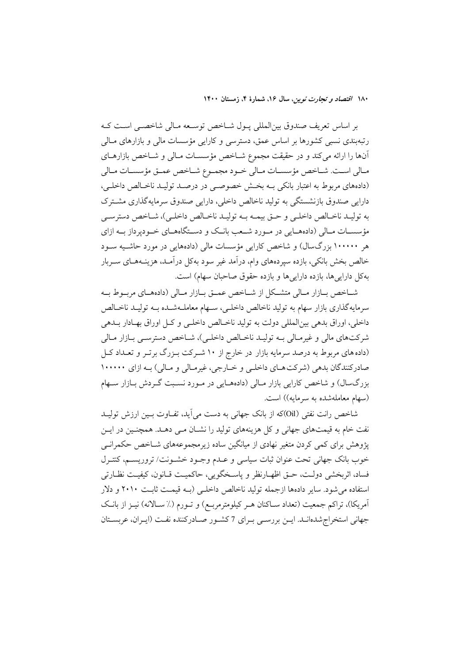بر اساس تعریف صندوق بینالمللی پـول شـاخص توسـعه مـالی شاخصـی اسـت کـه رتبهبندی نسبی کشورها بر اساس عمق، دسترسی و کارایی مؤسسات مالی و بازارهای مـالی آنها را ارائه میکند و در حقیقت مجموع شـاخص مؤسسـات مـالی و شـاخص بازارهـای مـالى اسـت. شـاخص مؤسسـات مـالى خـود مجمـوع شـاخص عمـق مؤسسـات مـالى (دادههای مربوط به اعتبار بانکی بـه بخـش خصوصـی در درصـد تولیـد ناخـالص داخلـی، دارایی صندوق بازنشستگی به تولید ناخالص داخلی، دارایی صندوق سرمایهگذاری مشترک به توليـد ناخـالص داخلـي و حـق بيمـه بـه توليـد ناخـالص داخلـي)، شـاخص دسترسـي مؤسســات مــالي (دادههــايي در مــورد شــعب بانــک و دســتگاههــاي خــوديرداز بــه ازاي هر ۱۰۰۰۰۰ بزرگسال) و شاخص کارایی مؤسسات مالی (دادههایی در مورد حاشـیه سـود خالص بخش بانکی، بازده سپردههای وام، درآمد غیر سود بهکل درآمـد، هزینــههـای ســربار بهكل دارايي ها، بازده دارايي ها و بازده حقوق صاحبان سهام) است.

شـاخص بـازار مـالي متشـكل از شـاخص عمــق بــازار مــالي (دادههــاي مربــوط بــه سرمايه گذاري بازار سهام به توليد ناخالص داخلـي، سـهام معاملـهشـده بــه توليــد ناخـالص داخلي، اوراق بدهي بين|لمللي دولت به توليد ناخـالص داخلـي و كـل اوراق بهـادار بــدهي شرکتهای مالی و غیرمـالی بـه تولیـد ناخـالص داخلـی)، شـاخص دسترسـی بـازار مـالی (داده های مربوط به درصد سرمایه بازار در خارج از ۱۰ شـرکت بـزرگ برتـر و تعـداد کـل صادرکنندگان بدهی (شرکتهای داخلی و خـارجی، غیرمـالی و مـالی) بـه ازای ۱۰۰۰۰۰ بزرگسال) و شاخص کارایی بازار مـالی (دادههـایی در مـورد نسـبت گـردش بـازار سـهام (سهام معاملهشده به سرمایه)) است.

شاخص رانت نفتی (Oil)که از بانک جهانی به دست می اید، تفـاوت بـین ارزش تولیـد نفت خام به قیمتهای جهانی و کل هزینههای تولید را نشـان مـی دهــد. همچنـین در ایــن پژوهش برای کمی کردن متغیر نهادی از میانگین ساده زیرمجموعههای شـاخص حکمرانــی خوب بانک جهانی تحت عنوان ثبات سیاسی و عـدم وجـود خشـونت/ تروریسـم، کنتـرل فساد، اثربخشي دولـت، حــق اظهــارنظر و پاسـخگويي، حاكميـت قــانون، كيفيـت نظــارتي استفاده می شود. سایر دادهها ازجمله تولید ناخالص داخلـی (بــه قیمــت ثابــت ۲۰۱۰ و دلار آمریکا)، تراکم جمعیت (تعداد ســاکنان هــر کیلومترمربــع) و تــورم (٪ ســالانه) نیــز از بانــک جهانی استخراج شدهانــد. ایــن بررســی بــرای 7 کشــور صــادرکننده نفــت (ایــران، عربســتان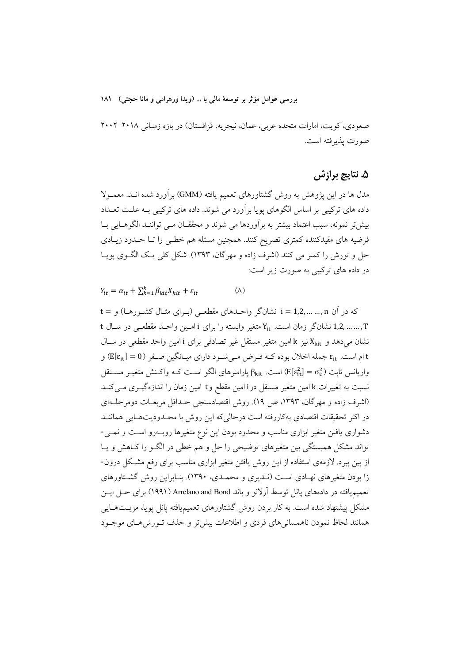صعودی، کویت، امارات متحده عربی، عمان، نیجریه، قزاقستان) در بازه زمـانی ۲۰۱۸–۲۰۰۲ صورت يذيرفته است.

### ۵. نتایج برازش

مدل ها در این یژوهش به روش گشتاورهای تعمیم یافته (GMM) برآورد شده انــد. معمــولا داده های ترکیبی بر اساس الگوهای یویا برآورد می شوند. داده های ترکیبی بـه علـت تعــداد بیش تر نمونه، سبب اعتماد بیشتر به برآوردها می شوند و محققـان مـی تواننـد الگوهـایی بـا فرضیه های مقیدکننده کمتری تصریح کنند. همچنین مسئله هم خطبی را تـا حـدود زیـادی حل و تورش را كمتر مي كنند (اشرف زاده و مهرگان، ١٣٩٣). شكل كلي يـك الگــوي يويــا در داده های ترکیبی به صورت زیر است:

 $Y_{it} = \alpha_{it} + \sum_{k=1}^{k} \beta_{kit} X_{kit} + \varepsilon_{it}$  $(\wedge)$ 

که در آن i = 1,2, ... ... ,n نشانگر واحـدهای مقطعـی (بـرای مثـال کشـورهـا) و = t t ... ... ,1,2 نشانگر زمان است. Y<sub>it</sub> متغیر وابسته را برای i امـین واحـد مقطعـی در سـال t نشان می دهد و X<sub>kit</sub> نیز k امین متغیر مستقل غیر تصادفی برای i امین واحد مقطعی در سـال t ام است. Eit جمله اخلال بوده کـه فـرض مـي شـود داراي ميـانگين صـفر (E[ $\varepsilon_{\rm it}$ ] و واریانس ثابت ( $\epsilon_{\rm it}^2 = \epsilon_{\rm it}^2 = \left( {\rm E}[\epsilon_{\rm it}^2] = \sigma_\epsilon^2 \right)$  است.  $\beta_{\rm kit}$  یارامتر های الگو است ک $\epsilon$  واکـنش متغیـر مسـتقل نسبت به تغییرات k امین متغیر مستقل درi امین مقطع وt امین زمان را اندازهگیــری مــیکنــد (اشرف زاده و مهرگان، ۱۳۹۳، ص ۱۹). روش اقتصادسنجی حـداقل مربعـات دومرحلـهای در اکثر تحقیقات اقتصادی بهکاررفته است در حالی که این روش با محیدودیتهبایی هماننید دشواری یافتن متغیر ابزاری مناسب و محدود بودن این نوع متغیرها روب درو است و نمــی-تواند مشکل همبستگی بین متغیرهای توضیحی را حل و هم خطی در الگـو را کـاهش و یـا از بین ببرد. لازمهی استفاده از این روش یافتن متغیر ابزاری مناسب برای رفع مشکل درون-زا بودن متغیرهای نهـادی اسـت (نـدیری و محمـدی، ۱۳۹۰). بنـابراین روش گشـتاورهای تعمیمیافته در دادههای پانل توسط آرلانو و باند Arrelano and Bond (۱۹۹۱) برای حــل ایــن مشکل پیشنهاد شده است. به کار بردن روش گشتاورهای تعمیمیافته پانل پویا، مزیــتهــایی همانند لحاظ نمودن ناهمسانیهای فردی و اطلاعات بیش تر و حذف تـورش هـای موجـود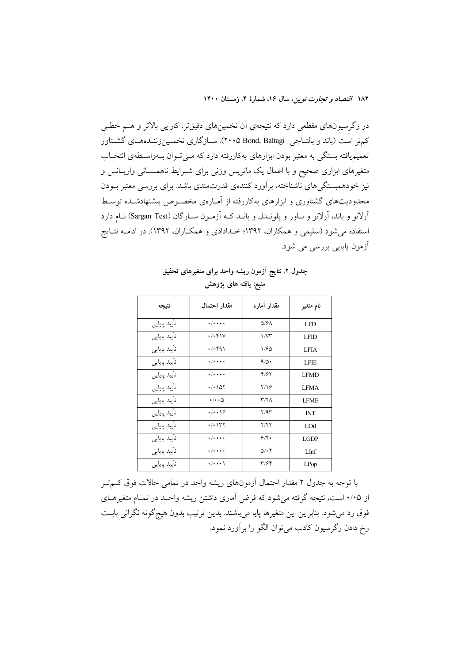در رگرسیونهای مقطعی دارد که نتیجهی اَن تخمینهای دقیقتر، کارایی بالاتر و هــم خطــی کمتر است (باند و بالتـاجي Bond, Baltagi). سـازگاري تخمـينزننـدههـاي گشـتاور تعمیمپافته بستگی به معتبر بودن ابزارهای بهکاررفته دارد که مـی تـوان بـهواسـطهی انتخـاب متغیرهای ابزاری صحیح و با اعمال یک ماتریس وزنی برای شـرایط ناهمسـانی واریـانس و نیز خودهمبستگیهای ناشناخته، برآورد کنندهی قدرتمندی باشد. برای بررسی معتبر بــودن محدودیتهای گشتاوری و ابزارهای بهکاررفته از آمـارهی مخصـوص پیشنهادشـده توسـط آرلانو و باند، آرلانو و باور و بلونـدل و بانـد کـه آزمـون سـارگان (Sargan Test) نـام دارد استفاده می شود (سلیمی و همکاران، ۱۳۹۲؛ خـدادادی و همکـاران، ۱۳۹۲). در ادامــه نتــایج آزمون پایایی بررس<sub>ی</sub> می شود.

| نتيجه        | مقدار احتمال                      | مقدار آماره               | نام متغیر   |  |
|--------------|-----------------------------------|---------------------------|-------------|--|
| تأييد پايايي | $\cdot$ / $\cdot$ + $\cdot$       | $Q/6\Lambda$              | <b>LFD</b>  |  |
| تأييد پايايي | $\cdot$ / $\cdot$ ۴۱۷             | $1/M^2$                   | <b>LFID</b> |  |
| تأييد پايايي | $\cdot$ / $\cdot$ $91$            | 1/60                      | <b>LFIA</b> |  |
| تأييد پايايي | $\cdot$ / $\cdot$ $\cdot$ $\cdot$ | 9/0                       | <b>LFIE</b> |  |
| تأييد پايايي | $\cdot$ / $\cdot$ $\cdot$ $\cdot$ | 4/67                      | <b>LFMD</b> |  |
| تأييد پايايي | ۱۵۲ ۱۰/۰                          | $Y/\sqrt{2}$              | <b>LFMA</b> |  |
| تأييد پايايي | $\cdot/\cdot\cdot\Delta$          | $\mathsf{r}$ /۲ $\wedge$  | <b>LFME</b> |  |
| تأييد پايايي | $\cdot/\cdot\cdot$ \ $9$          | Y/9Y                      | <b>INT</b>  |  |
| تأييد پايايي | ۱۳۲ (                             | Y/YY                      | LOil        |  |
| تأييد پايايي | $\cdot$ / $\cdot$ + $\cdot$       | 9/4.                      | <b>LGDP</b> |  |
| تأييد پايايي | $\cdot$ / $\cdot$ $\cdot$ $\cdot$ | $\Delta/\cdot$ $\Upsilon$ | LInf        |  |
| تأييد پايايي | $\cdot$ / $\cdot$ $\cdot$ \       | ۳/۶۴                      | LPop        |  |

جدول ٢. نتايج آزمون ريشه واحد براى متغيرهاى تحقيق منبع: یافته های یژوهش

با توجه به جدول ۲ مقدار احتمال آزمونهای ریشه واحد در تمامی حالات فوق کـمتـر از ۰/۰۵ است، نتیجه گرفته می شود که فرض آماری داشتن ریشه واحـد در تمـام متغیرهـای فوق رد می شود. بنابراین این متغیرها پایا میباشند. بدین ترتیب بدون هیچگونه نگرانی بابت رخ دادن رگرسیون کاذب می توان الگو را برآورد نمود.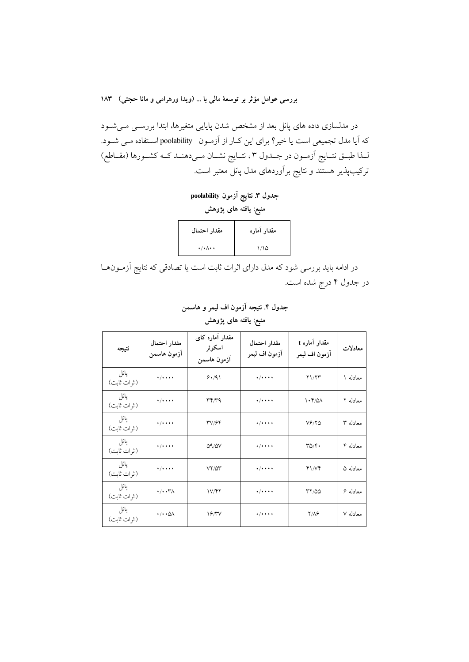در مدلسازی داده های پانل بعد از مشخص شدن پایایی متغیرها، ابتدا بررســی مــیشــود که آیا مدل تجمیعی است یا خیر؟ برای این کـار از آزمـون poolability اسـتفاده مـی شـود. لـذا طبــق نتــايج اَزمــون در جــدول ٣، نتــايج نشــان مــىدهنــد كــه كشــورها (مقــاطع) ترکیبپذیر هستند و نتایج برآوردهای مدل پانل معتبر است.

جدول ٣. نتايج اَزمون poolability منبع: یافته های پژوهش

| مقدار احتمال                     | مقدار آماره |
|----------------------------------|-------------|
| $\cdot/\cdot \wedge \cdot \cdot$ | ۱٬۱۵        |

در ادامه باید بررسی شود که مدل دارای اثرات ثابت است یا تصادقی که نتایج اَزمــونهــا در جدول ۴ درج شده است.

جدول ۴. نتيجه آزمون اف ليمر و هاسمن منبع: یافته های پژوهش

| نتيجه                 | مقدار احتمال<br>أزمون هاسمن        | مقدار آماره کای<br>اسكوئر<br>آزمون هاسمن | مقدار احتمال<br>آزمون اف ليمر     | مقدار آماره t<br>آزمون اف ليمر | معادلات  |
|-----------------------|------------------------------------|------------------------------------------|-----------------------------------|--------------------------------|----------|
| پانل<br>(اثر ات ثابت) | $\frac{1}{2}$                      | 9.191                                    | $+ / + + + +$                     | Y1/YY                          | معادله ۱ |
| پانل<br>(اثرات ثابت)  | $\cdot$ /+ + + +                   | ۳۴/۳۹                                    | $\frac{1}{2}$                     | $\cdot$ ۴/۵۸                   | معادله ۲ |
| پانل<br>(اثرات ثابت)  | $\frac{1}{2}$                      | <b>۳</b> ۷/۶۴                            | $\cdot$ / $\cdot$ $\cdot$ $\cdot$ | $V$ ۶/۲۵                       | معادله ۳ |
| پانل<br>(اثر ات ثابت) | $\cdot$ /+ + + +                   | $\Delta$ 9/ $\Delta$ V                   | $\frac{1}{2}$                     | $\Gamma \Delta / \Upsilon$     | معادله ۴ |
| پانل<br>(اثرات ثابت)  | $\frac{1}{2}$                      | $VY/\Delta Y$                            | $\cdot$ / $\cdot$ + + $\cdot$     | 41N                            | معادله ۵ |
| پانل<br>(اثرات ثابت)  | $\cdot/\cdot\cdot\mathsf{Y}\wedge$ | 1V/FY                                    | $\frac{1}{2}$                     | 77/00                          | معادله ۶ |
| پانل<br>(اثرات ثابت)  | $\cdot/\cdot\cdot\Diamond\wedge$   | 19/7V                                    | $\frac{1}{2}$                     | <b>Y/AG</b>                    | معادله ۷ |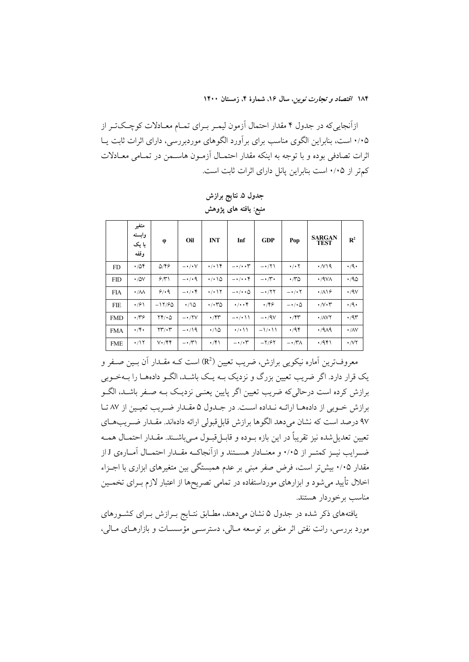ازآنجاییکه در جدول ۴ مقدار احتمال آزمون لیمـر بـرای تمـام معـادلات کوچـکتـر از ۰/۰۵ است، بنابراین الگوی مناسب برای برآورد الگوهای موردبررسی، دارای اثرات ثابت پــا اثرات تصادفی بوده و با توجه به اینکه مقدار احتمـال آزمـون هاسـمن در تمـامی معـادلات كمتر از ۰/۰۵ است بنابراین یانل دارای اثرات ثابت است.

|            | متغير<br>وابسته<br>با یک<br>وقفه | $\phi$                                | Oil                     | <b>INT</b>                                | Inf                       | <b>GDP</b>            | Pop                       | <b>SARGAN</b><br><b>TEST</b>     | $R^2$                    |
|------------|----------------------------------|---------------------------------------|-------------------------|-------------------------------------------|---------------------------|-----------------------|---------------------------|----------------------------------|--------------------------|
| <b>FD</b>  | $\cdot$ /04                      | $\Delta$ /۴۶                          | $-\cdot/\cdot V$        | $\cdot/\cdot$ \ $\Upsilon$                | $-\cdot/\cdot\cdot \tau$  | $-1/\Upsilon$         | $\cdot$ / $\cdot$ $\cdot$ | $\cdot$ / $\vee$ 19              | $\cdot$ /9 $\cdot$       |
| <b>FID</b> | $\cdot$ /0V                      | 5/1                                   | $-4/4$                  | $\cdot$ / $\cdot$ \ $\Delta$              | $-\cdot/\cdot\cdot$       | $-\cdot \wedge \cdot$ | $\cdot \pi$ 0             | $\cdot$ /9 $\vee$ A              | .40                      |
| <b>FIA</b> | $\cdot/\lambda\lambda$           | 9/49                                  | $-\cdot/\cdot$ ۴        | $\cdot$ / $\cdot$                         | $-\cdot/\cdot\cdot\Delta$ | $- \cdot 77$          | $- \cdot / \cdot 7$       | $\cdot$ /19                      | $\cdot$ /9 $\vee$        |
| FIE        | $\cdot$ /۶۱                      | $-11/60$                              | $\cdot$ 10              | $\cdot$ / $\cdot$ $\cdot$ $\cdot$ $\circ$ | $\cdot/\cdot\cdot$ ۴      | $\cdot$ /۴۶           | $-\cdot/\cdot \Delta$     | $\cdot$ / $\vee$ $\cdot$ $\tau$  | $\cdot$ /9 $\cdot$       |
| <b>FMD</b> | $\cdot \pi$ ۶                    | $YY/\cdot 0$                          | $-1.7V$                 | $\cdot$ /۴۳                               | $-\cdot$ / $\cdot$ \ \    | $-4.4V$               | $\cdot$ /۴۳               | $\cdot$ / $\wedge$ $\vee$ $\vee$ | .47                      |
| <b>FMA</b> | $\cdot$ /۴.                      | $\Upsilon\Upsilon/\Upsilon$           | $-1/9$                  | $\cdot$ 10                                | $\cdot$ / $\cdot$         | $-1/211$              | .44                       | .444                             | $\cdot$ /AV              |
| <b>FME</b> | $\cdot$ /17                      | $V \cdot / \mathfrak{f} \mathfrak{f}$ | $-\cdot$ / $\uparrow$ \ | $\cdot$ /۴۱                               | $-\cdot/\cdot \tau$       | $-7/97$               | $-\cdot \wedge \wedge$    | $\cdot$ /941                     | $\cdot$ / $\vee$ $\cdot$ |

جدول ۵ نتایج برازش منبع: یافته های پژوهش

معروف ترین آمارہ نیکو پی برازش، ضریب تعیین (R<sup>2</sup>) است ک4 مقــدار آن بــین صــفر و یک قرار دارد. اگر ضریب تعیین بزرگ و نزدیک بــه یــک باشــد، الگــو دادههــا را بــهخــوبی برازش کرده است درحالی که ضریب تعیین اگر پایین یعنبی نزدیـک بــه صــفر باشــد، الگــو برازش خربي از دادهما ارائـه نـداده اسـت. در جـدول ۵ مقـدار ضـريب تعيـين از ۸۷ تـا ۹۷ درصد است که نشان میدهد الگوها برازش قابلقبولی ارائه دادهاند. مقـدار ضـریبهـای تعيين تعديل شده نيز تقريباً در اين بازه بــوده و قابــل قبــول مــي باشــند. مقــدار احتمــال همــه ضبرایب نسز کمتیر از ۰/۰۵ و معنیادار هستند و ازآنجاک» مقیدار احتمیال آمیارهی J از مقدار ۰/۰۵ بیش تر است، فرض صفر مبنی بر عدم همبستگی بین متغیرهای ابزاری با اجـزاء اخلال تأیید می شود و ابزارهای مورداستفاده در تمامی تصریحها از اعتبار لازم بــرای تخمــین مناسب برخوردار هستند.

یافتههای ذکر شده در جدول ۵ نشان میدهند، مطـابق نتـایج بـرازش بـرای کشـورهای مورد بررسی، رانت نفتی اثر منفی بر توسعه مـالی، دسترســی مؤسســات و بازارهــای مــالی،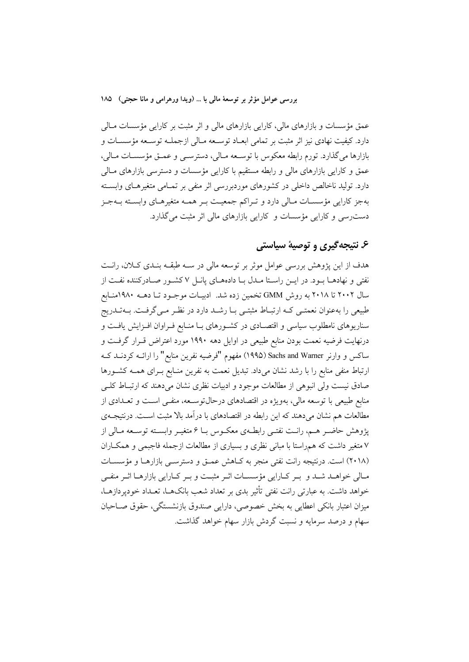عمق مؤسسات و بازارهای مالی، کارایی بازارهای مالی و اثر مثبت بر کارایی مؤسسات مـالی دارد. كيفيت نهادي نيز اثر مثبت بر تمامي ابعــاد توســعه مــالي ازجملــه توســعه مؤسســات و بازارها مي گذارد. تورم رابطه معكوس با توسـعه مـالي، دسترسـي و عمـق مؤسسـات مـالي، عمق و کارایی بازارهای مالی و رابطه مستقیم با کارایی مؤسسات و دسترسی بازارهای مـالی دارد. تولید ناخالص داخلی در کشورهای موردبررسی اثر منفی بر تمـامی متغیرهـای وابسـته بهجز كارايي مؤسسـات مـالي دارد و تـراكم جمعيـت بـر همـه متغيرهـاي وابسـته بــهجـز دست رسی و کارایی مؤسسات و کارایی بازارهای مالی اثر مثبت می گذارد.

## ۶. نتيجه گيري و توصيهٔ سياستي

هدف از این پژوهش بررسی عوامل موثر بر توسعه مالی در سـه طبقــه بنــدی کــلان، رانــت نفتی و نهادهـا بـود. در ايـن راسـتا مـدل بـا دادههـاي پانـل ۷ كشـور صـادركننده نفـت از سال ۲۰۰۲ تا ۲۰۱۸ به روش GMM تخمین زده شد. ادبیـات موجـود تـا دهــه ۱۹۸۰منـابع طبیعی را بهعنوان نعمتـی کـه ارتبـاط مثبتـی بـا رشـد دارد در نظـر مـیگرفـت. بــهتـدریج سناریوهای نامطلوب سیاسی و اقتصـادی در کشـورهای بـا منـابع فـراوان افـزایش یافـت و درنهایت فرضیه نعمت بودن منابع طبیعی در اوایل دهه ۱۹۹۰ مورد اعتراض قـرار گرفـت و ساکس و وارنر Sachs and Warner (۱۹۹۵) مفهوم "فرضیه نفرین منابع" را ارائــه کردنــد کــه ارتباط منفی منابع را با رشد نشان میداد. تبدیل نعمت به نفرین منـابع بـرای همـه کشـورها صادق نیست ولی انبوهی از مطالعات موجود و ادبیات نظری نشان می دهند که ارتبـاط کلــی منابع طبیعی با توسعه مالی، بهویژه در اقتصادهای درحالتوســعه، منفــی اسـت و تعــدادی از مطالعات هم نشان میدهند که این رابطه در اقتصادهای با درآمد بالا مثبت اسـت. درنتیجــهی پژوهش حاضـر هـم، رانـت نفتـي رابطـهي معكـوس بــا ۶ متغيـر وابســته توســعه مــالي از ۷ متغیر داشت که همراستا با مبانی نظری و بسیاری از مطالعات ازجمله فاجبمی و همکـاران (۲۰۱۸) است. درنتیجه رانت نفتی منجر به کـاهش عمـق و دسترسـی بازارهـا و مؤسسـات مـالی خواهــد شــد و بــر کــارایی مؤسســات اثــر مثبــت و بــر کــارایی بازارهــا اثــر منفــی خواهد داشت. به عبارتی رانت نفتی تأثیر بدی بر تعداد شعب بانکهـا، تعـداد خودیردازهـا، میزان اعتبار بانکی اعطایی به بخش خصوصی، دارایی صندوق بازنشستگی، حقوق صـاحبان سهام و درصد سرمایه و نسبت گردش بازار سهام خواهد گذاشت.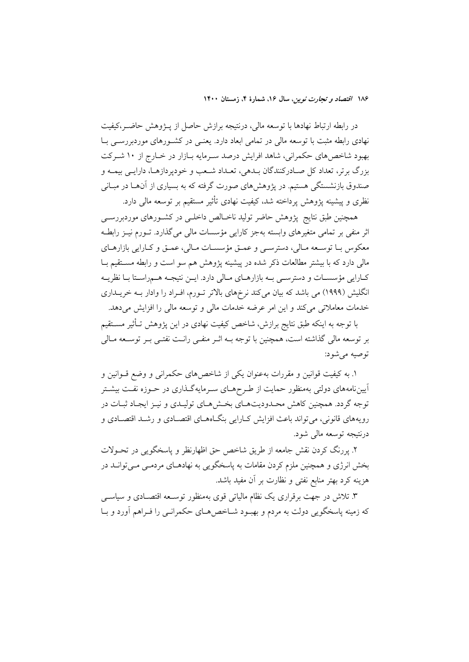در رابطه ارتباط نهادها با توسعه مالی، درنتیجه برازش حاصل از پـژوهش حاضـر،کیفیت نهادی رابطه مثبت با توسعه مالی در تمامی ابعاد دارد. یعنـی در کشـورهای موردبررسـی بـا بهبود شاخصهای حکمرانی، شاهد افرایش درصد سـرمایه بـازار در خـارج از ۱۰ شـرکت بزرگ برتر، تعداد کل صـادرکنندگان بـدهي، تعـداد شـعب و خوديردازهـا، دارايـي بيمـه و صندوق بازنشستگی هستیم. در پژوهشهای صورت گرفته که به بسیاری از آنهـا در مبـانی نظری و پیشینه پژوهش پرداخته شد، کیفیت نهادی تأثیر مستقیم بر توسعه مالی دارد.

همچنین طبق نتایج پژوهش حاضر تولید ناخـالص داخلـی در کشـورهای موردبررسـی اثر منفی بر تمامی متغیرهای وابسته بهجز کارایی مؤسسات مالی میگذارد. تــورم نیــز رابطــه معکوس بـا توسـعه مـالي، دسترسـي و عمـق مؤسسـات مـالي، عمـق و کـارايي بازارهـاي مالی دارد که با بیشتر مطالعات ذکر شده در پیشینه پژوهش هم سو است و رابطه مســتقیم بــا کارایی مؤسسات و دسترسـی بـه بازارهـای مـالی دارد. ایـن نتیجـه هـمراسـتا بـا نظریــه انگلیش (۱۹۹۹) می باشد که بیان میکند نرخهای بالاتر تـورم، افـراد را وادار بـه خریـداری خدمات معاملاتی میکند و این امر عرضه خدمات مالی و توسعه مالی را افزایش میدهد.

با توجه به اینکه طبق نتایج برازش، شاخص کیفیت نهادی در این پژوهش تـأثیر مســتقیم بر توسعه مالی گذاشته است، همچنین با توجه بــه اثــر منفــی رانــت نفتــی بــر توســعه مــالی توصيه مي شود:

۱. به کیفیت قوانین و مقررات بهعنوان یکی از شاخصهای حکمرانی و وضع قــوانین و آییننامههای دولتی بهمنظور حمایت از طـرحهـای سـرمایهگـذاری در حـوزه نفـت بیشـتر توجه گردد. همچنین کاهش محـدودیتهـای بخـش۵عـای تولیـدی و نیـز ایجـاد ثبـات در رویههای قانونی، می تواند باعث افزایش کـارایی بنگـاههـای اقتصـادی و رشـد اقتصـادی و درنتيجه توسعه مالي شود.

۲. پررنگ کردن نقش جامعه از طریق شاخص حق اظهارنظر و پاسخگویی در تحــولات بخش انرژی و همچنین ملزم کردن مقامات به پاسخگویی به نهادهـای مردمـی مـیتوانــد در هزینه کرد بهتر منابع نفتی و نظارت بر آن مفید باشد.

۳. تلاش در جهت برقراری یک نظام مالیاتی قوی بهمنظور توسـعه اقتصـادی و سیاســی که زمینه پاسخگویی دولت به مردم و بهبود شـاخص هـای حکمرانـی را فـراهم آورد و بـا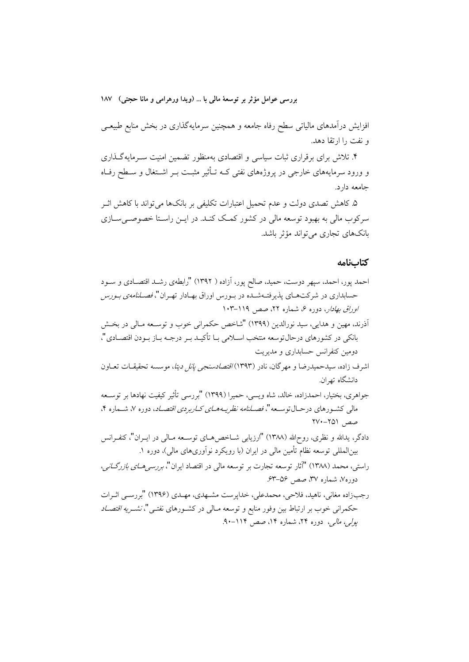افزایش درآمدهای مالیاتی سطح رفاه جامعه و همچنین سرمایهگذاری در بخش منابع طبیعــی و نفت را ارتقا دهد.

۴. تلاش برای برقراری ثبات سیاسی و اقتصادی بهمنظور تضمین امنیت سـرمایهگـذاری و ورود سرمایههای خارجی در پروژههای نفتی کـه تـأثیر مثبـت بــر اشــتغال و ســطح رفــاه جامعه دارد.

۵ـ کاهش تصدی دولت و عدم تحمیل اعتبارات تکلیفی بر بانکها می تواند با کاهش اثــر سرکوب مالی به بهبود توسعه مالی در کشور کمک کنـد. در ایــن راســتا خصوصــیســازی بانکھای تجاری مے تواند مؤثر باشد.

#### كتابنامه

احمد پور، احمد، سپهر دوست، حمید، صالح پور، آزاده ( ۱۳۹۲) "رابطهی رشـد اقتصـادی و ســود حسابداری در شرکتهـای پذیرفتـهشـده در بـورس اوراق بهـادار تهـران"، *فصـلنامهی بـورس اوراق بهادار، دو*ره ۶، شماره ۲۲، صص<sub>ر، ۱</sub>۱۱۹–۱۰۳ أذرند، مهين و هدايي، سيد نورالدين (١٣٩٩) "شاخص حكمراني خوب و توسـعه مـالي در بخــش بانكي در كشورهاي درحالتوسعه منتخب اســلامي بــا تأكيــد بــر درجــه بــاز بــودن اقتصــادي"، دومین کنفرانس حسابداری و مدیریت اشرف زاده، سیدحمیدرضا و مهرگان، نادر (۱۳۹۳)/*اقتصادسنجی پانل دیتا*، موسسه تحقیقـات تعــاون دانشگاه تهران. جواهري، بختيار، احمدزاده، خالد، شاه ويسي، حميرا (١٣٩٩) "بررسي تأثير كيفيت نهادها بر توسـعه مالی کشـورهای درحـال¤وسـعه"، *فصـلنامه نظریـههـای کـارپردی اقتصـاد*، دوره ۷، شــماره ۴، صص ٢٥١-٢٧٠ دادگر، يدالله و نظري، روحالله (١٣٨٨) "ارزيابي شــاخص٥هــاي توســعه مــالي در ايــران"، كنفــرانس بینالمللی توسعه نظام تأمین مالی در ایران (با رویکرد نوآوریهای مالی)، دوره ۱. راستی، محمد (۱۳۸۸) "آثار توسعه تجارت بر توسعه مالی در اقتصاد ایران"، *بررسی هـای بازرگـانی*، دوره۷، شماره ۳۷، صص ۵۶–۶۳. رجبزاده مغانی، ناهید، فلاحی، محمدعلی، خداپرست مشـهدی، مهـدی (۱۳۹۶) "بررســ اثـرات حکمرانی خوب بر ارتباط بین وفور منابع و توسعه مـالی در کشــورهای نفتــی"، *نشــریه اقتصــاد* یولی، مالی، دوره ۲۴، شماره ۱۴، صص ۱۱۴-۹۰.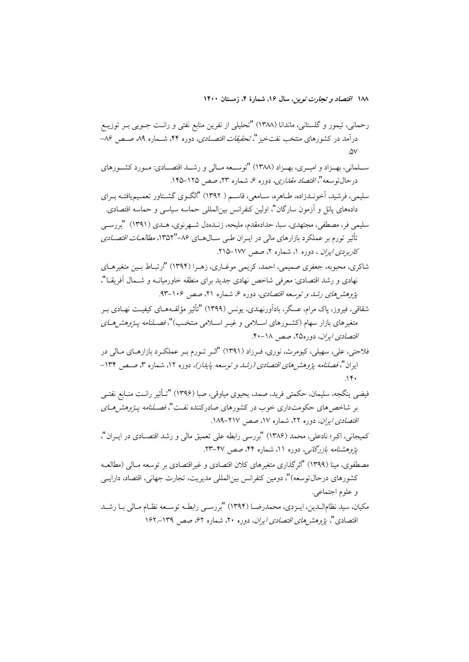- ســلماني، بهــزاد و اميــري، بهــزاد (١٣٨٨) "توســعه مــالي و رشــد اقتصــادي: مــورد كشــورهاي درحالتوسعه"، *اقتصاد مقداري،* دوره ۶، شماره ۲۳، صص ۱۲۵–۱۴۵.
- سلیمی، فرشید، آخو نیدزاده، طباهره، سیامعی، قاسیم ( ۱۳۹۲) "الگیوی گشتاور تعمیم یافتیه بیرای دادههای پانل و آزمون سارگان"، اولین کنفرانس بین|لمللی حماسه سیاسی و حماسه اقتصادی.
- سليمي فر، مصطفى، مجتهدي، سبا، حدادمقدم، مليحه، زنـدمدل شـهرنوي، هـدي (١٣٩١) "بررسـي تأثیر تورم بر عملکرد بازارهای مال<sub>ی</sub> در ایـران طـی ســال۵سـای ۸۶–''۱۳۵۲، *مطالعــات اقتصــادی* کاربردی ایران ، دوره ۱، شماره ۲، صص ۱۷۷-۲۱۵.
- شاکری، محبوبه، جعفری صمیمی، احمد، کریمی موغـاری، زهـرا (۱۳۹۴) "ارتبـاط بـین متغیرهـای نهادی و رشد اقتصادی: معرفی شاخص نهادی جدید برای منطقه خاورمیانــه و شــمال أفریقــا"، پژوهشرهای رشد و توسعه اقتصادی، دوره ۶، شماره ۲۱، صص ۱۰۶–۹۳.
- شقاقی، فیروز، پاک مرام، عسگر، بادآورنهندی، یونس (۱۳۹۹) "تأثیر مؤلف4هـای کیفیـت نهـادی بـر متغیرهای بازار سهام (کشـورهای اسـلامی و غیـر اسـلامی منتخـب)"، *فصـلنامه یـژوهش هـای* اقتصادی ایران، دوره۲۵، صص ۱۸-۴۰.
- فلاحتي، علي، سهيلي، کيومرث، نوري، فـرزاد (١٣٩١) "اثـر تـورم بـر عملکـرد بازارهـاي مـالي در ایران"، فص*لنامه پژوهش های اقتصادی (رشد و توسعه پایدار)،* دوره ۱۲، شماره ۳، صـص ۱۳۴- $\gamma$
- فيضي ينگجه، سليمان، حكمتي فريد، صمد، يحيوي مياوقي، صبا (١٣٩۶) "تـأثير رانـت منـابع نفتـي بر شاخص های حکومتداری خوب در کشورهای صادرکننده نفت"، *فصـلنامه پـژوهش هـای* اقتصادی ایران، دوره ۲۲، شماره ۱۷، صص ۲۱۷-۱۸۹.
- كميجاني، اكبر؛ نادعلي، محمد (١٣٨۶) "بررسي رابطه على تعميق مالي و رشد اقتصــادي در ايــران"، یژوهشنا*مه بازرگانی،* دوره ۱۱، شماره ۴۴، صص ۴۷-۲۳.
- مصطفوي، مينا (١٣٩٩) "اثر گذاري متغيرهاي كلان اقتصادي و غيراقتصادي بر توسعه مـالي (مطالعــه کشورهای در حال توسعه)"، دومین کنفرانس بین(لمللی مدیریت، تجارت جهانی، اقتصاد، دارایے و علوم اجتماعي.
- مكيان، سيد نظامالـدين، ايـزدي، محمدرضـا (١٣٩٤) "بررسـي رابطـه توسـعه نظـام مـالي بـا رشـد اقتصادی "، ي*ژوهشر های اقتصادی ايران*، دوره ۲۰، شماره ۶۲، صص ۱۳۹-۱۶۲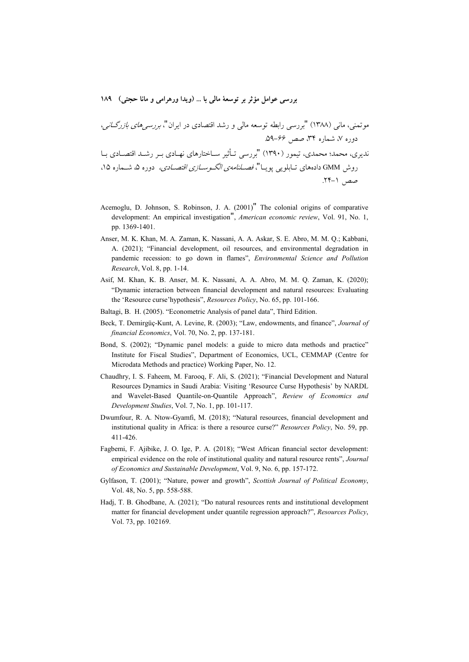K- -" "C& -TU : M " (1388) \*= 66 -59. 8+ 34 )=: 7 ) - TU : - - "9  " (1390 = ) -  =\_ Å=\_ &- 15 )=: 5 ) - TU -- X - \*<TB " & \$ & < )"- GMM 5 8+ 1 -24.

- Acemoglu, D. Johnson, S. Robinson, J. A. (2001)" The colonial origins of comparative development: An empirical investigation", *American economic review*, Vol. 91, No. 1, pp. 1369-1401.
- Anser, M. K. Khan, M. A. Zaman, K. Nassani, A. A. Askar, S. E. Abro, M. M. Q.; Kabbani, A. (2021); "Financial development, oil resources, and environmental degradation in pandemic recession: to go down in flames", *Environmental Science and Pollution Research*, Vol. 8, pp. 1-14.
- Asif, M. Khan, K. B. Anser, M. K. Nassani, A. A. Abro, M. M. Q. Zaman, K. (2020); "Dynamic interaction between financial development and natural resources: Evaluating the 'Resource curse'hypothesis", *Resources Policy*, No. 65, pp. 101-166.
- Baltagi, B. H. (2005). "Econometric Analysis of panel data", Third Edition.
- Beck, T. Demirgüç-Kunt, A. Levine, R. (2003); "Law, endowments, and finance", *Journal of financial Economics*, Vol. 70, No. 2, pp. 137-181.
- Bond, S. (2002); "Dynamic panel models: a guide to micro data methods and practice" Institute for Fiscal Studies", Department of Economics, UCL, CEMMAP (Centre for Microdata Methods and practice) Working Paper, No. 12.
- Chaudhry, I. S. Faheem, M. Farooq, F. Ali, S. (2021); "Financial Development and Natural Resources Dynamics in Saudi Arabia: Visiting 'Resource Curse Hypothesis' by NARDL and Wavelet-Based Quantile-on-Quantile Approach", *Review of Economics and Development Studies*, Vol. 7, No. 1, pp. 101-117.
- Dwumfour, R. A. Ntow-Gyamfi, M. (2018); "Natural resources, financial development and institutional quality in Africa: is there a resource curse?" *Resources Policy*, No. 59, pp. 411-426.
- Fagbemi, F. Ajibike, J. O. Ige, P. A. (2018); "West African financial sector development: empirical evidence on the role of institutional quality and natural resource rents", *Journal of Economics and Sustainable Development*, Vol. 9, No. 6, pp. 157-172.
- Gylfason, T. (2001); "Nature, power and growth", *Scottish Journal of Political Economy*, Vol. 48, No. 5, pp. 558-588.
- Hadj, T. B. Ghodbane, A. (2021); "Do natural resources rents and institutional development matter for financial development under quantile regression approach?", *Resources Policy*, Vol. 73, pp. 102169.